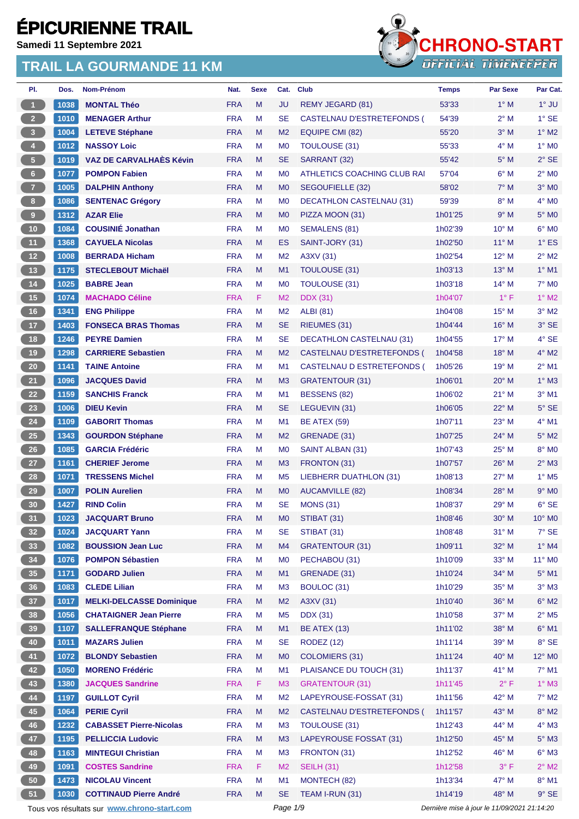**Samedi 11 Septembre 2021**



| PI.                     | Dos. | Nom-Prénom                                  | Nat.       | <b>Sexe</b> | Cat.           | <b>Club</b>                       | <b>Temps</b> | <b>Par Sexe</b>                             | Par Cat.                    |
|-------------------------|------|---------------------------------------------|------------|-------------|----------------|-----------------------------------|--------------|---------------------------------------------|-----------------------------|
| $\mathbf{1}$            | 1038 | <b>MONTAL Théo</b>                          | <b>FRA</b> | M           | JU             | <b>REMY JEGARD (81)</b>           | 53'33        | $1^\circ$ M                                 | $1^\circ$ JU                |
| 2 <sup>7</sup>          | 1010 | <b>MENAGER Arthur</b>                       | <b>FRA</b> | M           | <b>SE</b>      | <b>CASTELNAU D'ESTRETEFONDS (</b> | 54'39        | $2^{\circ}$ M                               | $1^\circ$ SE                |
| $\overline{\mathbf{3}}$ | 1004 | <b>LETEVE Stéphane</b>                      | <b>FRA</b> | M           | M <sub>2</sub> | <b>EQUIPE CMI (82)</b>            | 55'20        | $3^\circ$ M                                 | $1^\circ$ M2                |
| $\overline{4}$          | 1012 | <b>NASSOY Loic</b>                          | <b>FRA</b> | M           | M <sub>0</sub> | TOULOUSE (31)                     | 55'33        | $4^\circ$ M                                 | $1^\circ$ MO                |
| $\sqrt{5}$              | 1019 | <b>VAZ DE CARVALHAÈS Kévin</b>              | <b>FRA</b> | M           | <b>SE</b>      | SARRANT (32)                      | 55'42        | $5^\circ$ M                                 | $2^{\circ}$ SE              |
| $6\phantom{.}6$         | 1077 | <b>POMPON Fabien</b>                        | <b>FRA</b> | M           | M <sub>0</sub> | ATHLETICS COACHING CLUB RAI       | 57'04        | $6^\circ$ M                                 | $2^{\circ}$ MO              |
| $\overline{7}$          | 1005 | <b>DALPHIN Anthony</b>                      | <b>FRA</b> | M           | M <sub>0</sub> | SEGOUFIELLE (32)                  | 58'02        | $7^\circ$ M                                 | $3^\circ$ MO                |
| 8 <sup>1</sup>          | 1086 | <b>SENTENAC Grégory</b>                     | <b>FRA</b> | M           | M <sub>0</sub> | <b>DECATHLON CASTELNAU (31)</b>   | 59'39        | $8^\circ$ M                                 | $4^\circ$ MO                |
| $\boldsymbol{9}$        | 1312 | <b>AZAR Elie</b>                            | <b>FRA</b> | M           | M <sub>0</sub> | PIZZA MOON (31)                   | 1h01'25      | 9° M                                        | 5° M <sub>0</sub>           |
| 10                      | 1084 | <b>COUSINIÉ Jonathan</b>                    | <b>FRA</b> | M           | M <sub>0</sub> | SEMALENS (81)                     | 1h02'39      | $10^{\circ}$ M                              | $6°$ MO                     |
| 11                      | 1368 | <b>CAYUELA Nicolas</b>                      | <b>FRA</b> | M           | ES             | SAINT-JORY (31)                   | 1h02'50      | $11^{\circ}$ M                              | $1^\circ$ ES                |
| 12 <sup>°</sup>         | 1008 | <b>BERRADA Hicham</b>                       | <b>FRA</b> | M           | M <sub>2</sub> | A3XV (31)                         | 1h02'54      | $12^{\circ}$ M                              | $2^{\circ}$ M2              |
| 13                      | 1175 | <b>STECLEBOUT Michaël</b>                   | <b>FRA</b> | M           | M1             | <b>TOULOUSE (31)</b>              | 1h03'13      | $13^{\circ}$ M                              | $1^\circ$ M1                |
| $14$                    | 1025 | <b>BABRE Jean</b>                           | <b>FRA</b> | M           | M <sub>0</sub> | TOULOUSE (31)                     | 1h03'18      | $14^{\circ}$ M                              | 7° M0                       |
| 15                      | 1074 | <b>MACHADO Céline</b>                       | <b>FRA</b> | F           | M <sub>2</sub> | <b>DDX</b> (31)                   | 1h04'07      | $1^{\circ}$ F                               | $1^\circ$ M2                |
| 16                      | 1341 | <b>ENG Philippe</b>                         | <b>FRA</b> | M           | M <sub>2</sub> | <b>ALBI</b> (81)                  | 1h04'08      | $15^{\circ}$ M                              | $3°$ M2                     |
| 17                      | 1403 | <b>FONSECA BRAS Thomas</b>                  | <b>FRA</b> | M           | <b>SE</b>      | RIEUMES (31)                      | 1h04'44      | $16^{\circ}$ M                              | 3° SE                       |
| 18                      | 1246 | <b>PEYRE Damien</b>                         | <b>FRA</b> | M           | <b>SE</b>      | DECATHLON CASTELNAU (31)          | 1h04'55      | $17^{\circ}$ M                              | $4^\circ$ SE                |
| $19$                    | 1298 | <b>CARRIERE Sebastien</b>                   | <b>FRA</b> | M           | M <sub>2</sub> | CASTELNAU D'ESTRETEFONDS (        | 1h04'58      | $18^{\circ}$ M                              | $4^\circ$ M2                |
| $20\degree$             | 1141 | <b>TAINE Antoine</b>                        | <b>FRA</b> | M           | M <sub>1</sub> | CASTELNAU D ESTRETEFONDS (        | 1h05'26      | $19^{\circ}$ M                              | $2^{\circ}$ M1              |
| 21                      | 1096 | <b>JACQUES David</b>                        | <b>FRA</b> | M           | M <sub>3</sub> | GRATENTOUR (31)                   | 1h06'01      | $20^\circ$ M                                | $1^\circ$ M3                |
| 22                      | 1159 | <b>SANCHIS Franck</b>                       | <b>FRA</b> | M           | M <sub>1</sub> | BESSENS (82)                      | 1h06'02      | $21^{\circ}$ M                              | $3°$ M1                     |
| 23                      | 1006 | <b>DIEU Kevin</b>                           | <b>FRA</b> | M           | <b>SE</b>      | LEGUEVIN (31)                     | 1h06'05      | $22^{\circ}$ M                              | $5^\circ$ SE                |
| 24                      | 1109 | <b>GABORIT Thomas</b>                       | <b>FRA</b> | M           | M1             | <b>BE ATEX (59)</b>               | 1h07'11      | $23^{\circ}$ M                              | $4^\circ$ M1                |
| <b>25</b>               | 1343 | <b>GOURDON Stéphane</b>                     | <b>FRA</b> | M           | M <sub>2</sub> | GRENADE (31)                      | 1h07'25      | $24^{\circ}$ M                              | $5^\circ$ M2                |
| 26                      | 1085 | <b>GARCIA Frédéric</b>                      | <b>FRA</b> | M           | M <sub>0</sub> | SAINT ALBAN (31)                  | 1h07'43      | $25^{\circ}$ M                              | 8° MO                       |
| 27                      | 1161 | <b>CHERIEF Jerome</b>                       | <b>FRA</b> | M           | M <sub>3</sub> | FRONTON (31)                      | 1h07'57      | $26^{\circ}$ M                              | $2^{\circ}$ M3              |
| 28                      | 1071 | <b>TRESSENS Michel</b>                      | <b>FRA</b> | M           | M <sub>5</sub> | LIEBHERR DUATHLON (31)            | 1h08'13      | $27^\circ$ M                                | $1^\circ$ M <sub>5</sub>    |
| 29                      | 1007 | <b>POLIN Aurelien</b>                       | <b>FRA</b> | M           | M <sub>0</sub> | <b>AUCAMVILLE (82)</b>            | 1h08'34      | 28° M                                       | $9^\circ$ MO                |
| 30                      | 1427 | <b>RIND Colin</b>                           | <b>FRA</b> | M           | <b>SE</b>      | <b>MONS (31)</b>                  | 1h08'37      | $29^{\circ}$ M                              | $6^{\circ}$ SE              |
| 31                      | 1023 | <b>JACQUART Bruno</b>                       | <b>FRA</b> | M           | M <sub>0</sub> | STIBAT (31)                       | 1h08'46      | $30^\circ$ M                                | $10^{\circ}$ M <sub>0</sub> |
| 32 <sub>2</sub>         | 1024 | <b>JACQUART Yann</b>                        | <b>FRA</b> | M           | SE             | STIBAT (31)                       | 1h08'48      | $31°$ M                                     | $7^\circ$ SE                |
| 33                      | 1082 | <b>BOUSSION Jean Luc</b>                    | <b>FRA</b> | M           | M4             | <b>GRATENTOUR (31)</b>            | 1h09'11      | 32° M                                       | $1^\circ$ M4                |
| 34                      | 1076 | <b>POMPON Sébastien</b>                     | <b>FRA</b> | M           | M <sub>0</sub> | PECHABOU (31)                     | 1h10'09      | 33° M                                       | 11° MO                      |
| 35                      | 1171 | <b>GODARD Julien</b>                        | <b>FRA</b> | M           | M1             | GRENADE (31)                      | 1h10'24      | 34° M                                       | $5^\circ$ M1                |
| 36                      | 1083 | <b>CLEDE Lilian</b>                         | <b>FRA</b> | M           | M <sub>3</sub> | BOULOC (31)                       | 1h10'29      | 35° M                                       | $3^\circ$ M3                |
| 37 <sup>°</sup>         | 1017 | <b>MELKI-DELCASSE Dominique</b>             | <b>FRA</b> | M           | M <sub>2</sub> | A3XV (31)                         | 1h10'40      | 36° M                                       | $6^{\circ}$ M2              |
| 38                      | 1056 | <b>CHATAIGNER Jean Pierre</b>               | <b>FRA</b> | M           | M <sub>5</sub> | <b>DDX</b> (31)                   | 1h10'58      | $37^\circ$ M                                | $2^{\circ}$ M <sub>5</sub>  |
| 39                      | 1107 | <b>SALLEFRANQUE Stéphane</b>                | <b>FRA</b> | M           | M1             | <b>BE ATEX (13)</b>               | 1h11'02      | 38° M                                       | $6^{\circ}$ M1              |
| 40                      | 1011 | <b>MAZARS Julien</b>                        | <b>FRA</b> | M           | <b>SE</b>      | <b>RODEZ (12)</b>                 | 1h11'14      | $39^\circ$ M                                | 8° SE                       |
| 41                      | 1072 | <b>BLONDY Sebastien</b>                     | <b>FRA</b> | M           | M <sub>0</sub> | <b>COLOMIERS (31)</b>             | 1h11'24      | 40° M                                       | 12° M <sub>0</sub>          |
| 42                      | 1050 | <b>MORENO Frédéric</b>                      | <b>FRA</b> | M           | M1             | PLAISANCE DU TOUCH (31)           | 1h11'37      | 41° M                                       | $7^\circ$ M1                |
| 43                      | 1380 | <b>JACQUES Sandrine</b>                     | <b>FRA</b> | F           | M <sub>3</sub> | <b>GRATENTOUR (31)</b>            | 1h11'45      | $2^{\circ}$ F                               | $1^\circ$ M3                |
| 44                      | 1197 | <b>GUILLOT Cyril</b>                        | <b>FRA</b> | M           | M <sub>2</sub> | LAPEYROUSE-FOSSAT (31)            | 1h11'56      | 42° M                                       | $7^\circ$ M2                |
|                         |      |                                             |            |             |                |                                   |              |                                             |                             |
| 45                      | 1064 | <b>PERIE Cyril</b>                          | <b>FRA</b> | M           | M <sub>2</sub> | CASTELNAU D'ESTRETEFONDS (        | 1h11'57      | 43° M                                       | $8^\circ$ M2                |
| 46                      | 1232 | <b>CABASSET Pierre-Nicolas</b>              | <b>FRA</b> | M           | M <sub>3</sub> | TOULOUSE (31)                     | 1h12'43      | 44° M                                       | $4^\circ$ M3                |
| 47                      | 1195 | <b>PELLICCIA Ludovic</b>                    | <b>FRA</b> | M           | M <sub>3</sub> | LAPEYROUSE FOSSAT (31)            | 1h12'50      | 45° M                                       | $5^\circ$ M3                |
| 48                      | 1163 | <b>MINTEGUI Christian</b>                   | <b>FRA</b> | M           | M <sub>3</sub> | FRONTON (31)                      | 1h12'52      | 46° M                                       | $6^\circ$ M3                |
| 49                      | 1091 | <b>COSTES Sandrine</b>                      | <b>FRA</b> | F.          | M <sub>2</sub> | <b>SEILH (31)</b>                 | 1h12'58      | $3^\circ$ F                                 | $2^\circ$ M2                |
| 50                      | 1473 | <b>NICOLAU Vincent</b>                      | <b>FRA</b> | M           | M <sub>1</sub> | MONTECH (82)                      | 1h13'34      | 47° M                                       | $8^\circ$ M1                |
| 51                      | 1030 | <b>COTTINAUD Pierre André</b>               | <b>FRA</b> | M           | <b>SE</b>      | TEAM I-RUN (31)                   | 1h14'19      | 48° M                                       | $9^{\circ}$ SE              |
|                         |      | Tous vos résultats sur www.chrono-start.com |            |             | Page 1/9       |                                   |              | Dernière mise à jour le 11/09/2021 21:14:20 |                             |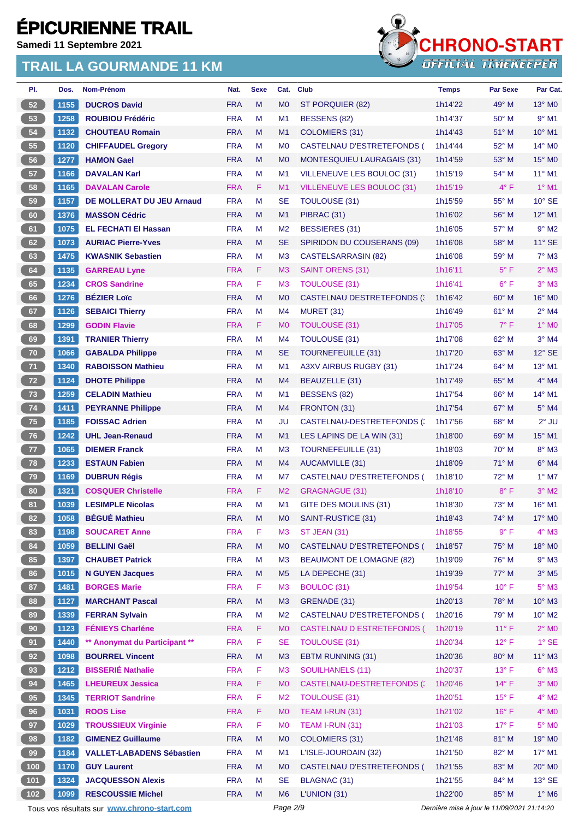**Samedi 11 Septembre 2021**



| PI.      | Dos.         | Nom-Prénom                                  | Nat.                     | <b>Sexe</b>    | Cat.                             | <b>Club</b>                                    | <b>Temps</b>       | <b>Par Sexe</b>                             | Par Cat.                |
|----------|--------------|---------------------------------------------|--------------------------|----------------|----------------------------------|------------------------------------------------|--------------------|---------------------------------------------|-------------------------|
| 52       | 1155         | <b>DUCROS David</b>                         | <b>FRA</b>               | M              | M <sub>0</sub>                   | ST PORQUIER (82)                               | 1h14'22            | $49^\circ$ M                                | $13^\circ$ MO           |
| 53       | 1258         | <b>ROUBIOU Frédéric</b>                     | <b>FRA</b>               | М              | M1                               | BESSENS (82)                                   | 1h14'37            | $50^\circ$ M                                | $9°$ M1                 |
| 54       | 1132         | <b>CHOUTEAU Romain</b>                      | <b>FRA</b>               | M              | M1                               | <b>COLOMIERS (31)</b>                          | 1h14'43            | 51° M                                       | $10^{\circ}$ M1         |
| 55       | 1120         | <b>CHIFFAUDEL Gregory</b>                   | <b>FRA</b>               | M              | M <sub>0</sub>                   | <b>CASTELNAU D'ESTRETEFONDS (</b>              | 1h14'44            | 52° M                                       | 14° M0                  |
| 56       | 1277         | <b>HAMON Gael</b>                           | <b>FRA</b>               | M              | M <sub>0</sub>                   | <b>MONTESQUIEU LAURAGAIS (31)</b>              | 1h14'59            | 53° M                                       | $15^\circ$ MO           |
| 57       | 1166         | <b>DAVALAN Karl</b>                         | <b>FRA</b>               | M              | M1                               | VILLENEUVE LES BOULOC (31)                     | 1h15'19            | 54° M                                       | 11° M1                  |
| 58       | 1165         | <b>DAVALAN Carole</b>                       | <b>FRA</b>               | F.             | M <sub>1</sub>                   | VILLENEUVE LES BOULOC (31)                     | 1h15'19            | $4^{\circ}$ F                               | $1°$ M1                 |
| 59       | 1157         | <b>DE MOLLERAT DU JEU Arnaud</b>            | <b>FRA</b>               | M              | <b>SE</b>                        | TOULOUSE (31)                                  | 1h15'59            | 55° M                                       | $10^{\circ}$ SE         |
| 60       | 1376         | <b>MASSON Cédric</b>                        | <b>FRA</b>               | M              | M1                               | PIBRAC (31)                                    | 1h16'02            | 56° M                                       | $12^{\circ}$ M1         |
| 61       | 1075         | <b>EL FECHATI EI Hassan</b>                 | <b>FRA</b>               | M              | M <sub>2</sub>                   | <b>BESSIERES (31)</b>                          | 1h16'05            | $57^\circ$ M                                | $9°$ M2                 |
| 62       | 1073         | <b>AURIAC Pierre-Yves</b>                   | <b>FRA</b>               | M              | <b>SE</b>                        | SPIRIDON DU COUSERANS (09)                     | 1h16'08            | $58^\circ$ M                                | $11^{\circ}$ SE         |
| 63       | 1475         | <b>KWASNIK Sebastien</b>                    | <b>FRA</b>               | М              | M <sub>3</sub>                   | <b>CASTELSARRASIN (82)</b>                     | 1h16'08            | 59° M                                       | $7^\circ$ M3            |
| 64       | 1135         | <b>GARREAU Lyne</b>                         | <b>FRA</b>               | F              | M <sub>3</sub>                   | <b>SAINT ORENS (31)</b>                        | 1h16'11            | $5^{\circ}$ F                               | $2°$ M3                 |
| 65       | 1234         | <b>CROS Sandrine</b>                        | <b>FRA</b>               | F              | M <sub>3</sub>                   | <b>TOULOUSE (31)</b>                           | 1h16'41            | $6^{\circ}$ F                               | $3°$ M $3$              |
| 66       | 1276         | <b>BÉZIER Loïc</b>                          | <b>FRA</b>               | M              | M <sub>0</sub>                   | <b>CASTELNAU DESTRETEFONDS (</b>               | 1h16'42            | $60^\circ$ M                                | 16° MO                  |
| 67       | 1126         | <b>SEBAICI Thierry</b>                      | <b>FRA</b>               | M              | M4                               | <b>MURET (31)</b>                              | 1h16'49            | $61^{\circ}$ M                              | $2^{\circ}$ M4          |
| 68       | 1299         | <b>GODIN Flavie</b>                         | <b>FRA</b>               | F.             | M <sub>0</sub>                   | <b>TOULOUSE (31)</b>                           | 1h17'05            | $7^\circ$ F                                 | $1^\circ$ MO            |
| 69       | 1391         | <b>TRANIER Thierry</b>                      | <b>FRA</b>               | M              | M <sub>4</sub>                   | <b>TOULOUSE (31)</b>                           | 1h17'08            | 62° M                                       | $3°$ M4                 |
| 70       | 1066         | <b>GABALDA Philippe</b>                     | <b>FRA</b>               | M              | <b>SE</b>                        | <b>TOURNEFEUILLE (31)</b>                      | 1h17'20            | $63^\circ$ M                                | $12^{\circ}$ SE         |
| $71$     | 1340         | <b>RABOISSON Mathieu</b>                    | <b>FRA</b>               | М              | M <sub>1</sub>                   | A3XV AIRBUS RUGBY (31)                         | 1h17'24            | $64^{\circ}$ M                              | 13° M1                  |
| 72       | 1124         | <b>DHOTE Philippe</b>                       | <b>FRA</b>               | M              | M4                               | BEAUZELLE (31)                                 | 1h17'49            | $65^\circ$ M                                | $4^\circ$ M4            |
| 73       | 1259         | <b>CELADIN Mathieu</b>                      | <b>FRA</b>               | М              | M1                               | BESSENS (82)                                   | 1h17'54            | $66^{\circ}$ M                              | 14° M1                  |
| 74       | 1411         | <b>PEYRANNE Philippe</b>                    | <b>FRA</b>               | M              | M <sub>4</sub>                   | FRONTON (31)                                   | 1h17'54            | $67^\circ$ M                                | $5^\circ$ M4            |
| 75       | 1185         | <b>FOISSAC Adrien</b>                       | <b>FRA</b>               | М              | JU                               | CASTELNAU-DESTRETEFONDS (                      | 1h17'56            | $68^{\circ}$ M                              | $2^{\circ}$ JU          |
| 76       | 1242         | <b>UHL Jean-Renaud</b>                      | <b>FRA</b>               | M              | M <sub>1</sub>                   | LES LAPINS DE LA WIN (31)                      | 1h18'00            | 69° M                                       | 15° M1                  |
| 77       | 1065         | <b>DIEMER Franck</b>                        | <b>FRA</b>               | М              | M <sub>3</sub>                   | TOURNEFEUILLE (31)                             | 1h18'03            | $70^\circ$ M                                | $8^\circ$ M3            |
| 78       | 1233         | <b>ESTAUN Fabien</b>                        | <b>FRA</b>               | M              | M4                               | <b>AUCAMVILLE (31)</b>                         | 1h18'09            | $71^\circ$ M                                | $6°$ M4                 |
| 79       | 1169         | <b>DUBRUN Régis</b>                         | <b>FRA</b>               | М              | M7                               | CASTELNAU D'ESTRETEFONDS (                     | 1h18'10            | 72° M                                       | $1^\circ$ M7            |
| 80       | 1321         | <b>COSQUER Christelle</b>                   | <b>FRA</b>               | F.             | M <sub>2</sub>                   |                                                | 1h18'10            | $8^{\circ}$ F                               | $3°$ M2                 |
| 81       | 1039         | <b>LESIMPLE Nicolas</b>                     | <b>FRA</b>               | M              | M1                               | GRAGNAGUE (31)<br><b>GITE DES MOULINS (31)</b> | 1h18'30            | 73° M                                       | 16° M1                  |
|          |              | <b>BÉGUÉ Mathieu</b>                        | <b>FRA</b>               | M              | M <sub>0</sub>                   | SAINT-RUSTICE (31)                             |                    | 74° M                                       |                         |
| 82<br>83 | 1058         | <b>SOUCARET Anne</b>                        | <b>FRA</b>               | F              | M <sub>3</sub>                   | <b>ST JEAN (31)</b>                            | 1h18'43<br>1h18'55 | 9° F                                        | 17° M0<br>$4^\circ$ M3  |
| 84       | 1198<br>1059 | <b>BELLINI Gaël</b>                         | <b>FRA</b>               | M              | M <sub>0</sub>                   | CASTELNAU D'ESTRETEFONDS (                     | 1h18'57            | 75° M                                       | 18° MO                  |
| 85       |              | <b>CHAUBET Patrick</b>                      |                          |                |                                  |                                                |                    | 76° M                                       |                         |
|          | 1397         |                                             | <b>FRA</b><br><b>FRA</b> | М<br>${\sf M}$ | M <sub>3</sub><br>M <sub>5</sub> | <b>BEAUMONT DE LOMAGNE (82)</b>                | 1h19'09<br>1h19'39 | 77° M                                       | $9°$ M3<br>$3^\circ$ M5 |
| 86       | 1015         | <b>N GUYEN Jacques</b>                      |                          | F              |                                  | LA DEPECHE (31)                                |                    |                                             |                         |
| 87       | 1481         | <b>BORGES Marie</b>                         | <b>FRA</b>               |                | M <sub>3</sub>                   | BOULOC (31)                                    | 1h19'54            | $10^{\circ}$ F                              | $5^\circ$ M3            |
| 88       | 1127         | <b>MARCHANT Pascal</b>                      | <b>FRA</b>               | M              | M <sub>3</sub>                   | GRENADE (31)                                   | 1h20'13            | 78° M                                       | $10^{\circ}$ M3         |
| 89       | 1339         | <b>FERRAN Sylvain</b>                       | <b>FRA</b>               | M              | M <sub>2</sub>                   | <b>CASTELNAU D'ESTRETEFONDS (</b>              | 1h20'16            | 79° M                                       | $10^{\circ}$ M2         |
| 90       | 1123         | <b>FÉNIEYS Charléne</b>                     | <b>FRA</b>               | F.             | M <sub>0</sub>                   | CASTELNAU D ESTRETEFONDS (                     | 1h20'19            | $11^{\circ}$ F                              | $2^{\circ}$ MO          |
| 91       | 1440         | ** Anonymat du Participant **               | <b>FRA</b>               | F              | <b>SE</b>                        | <b>TOULOUSE (31)</b>                           | 1h20'34            | $12^{\circ}$ F                              | $1^\circ$ SE            |
| 92       | 1098         | <b>BOURREL Vincent</b>                      | <b>FRA</b>               | M              | M3                               | <b>EBTM RUNNING (31)</b>                       | 1h20'36            | 80° M                                       | $11^{\circ}$ M3         |
| 93       | 1212         | <b>BISSERIÉ Nathalie</b>                    | <b>FRA</b>               | F              | M <sub>3</sub>                   | SOUILHANELS (11)                               | 1h20'37            | $13^{\circ}$ F                              | $6^\circ$ M3            |
| 94       | 1465         | <b>LHEUREUX Jessica</b>                     | <b>FRA</b>               | F              | M <sub>0</sub>                   | <b>CASTELNAU-DESTRETEFONDS (:</b>              | 1h20'46            | 14°F                                        | $3°$ MO                 |
| 95       | 1345         | <b>TERRIOT Sandrine</b>                     | <b>FRA</b>               | F              | M <sub>2</sub>                   | <b>TOULOUSE (31)</b>                           | 1h20'51            | $15^{\circ}$ F                              | $4^\circ$ M2            |
| 96       | 1031         | <b>ROOS Lise</b>                            | <b>FRA</b>               | F              | M <sub>0</sub>                   | TEAM I-RUN (31)                                | 1h21'02            | $16^{\circ}$ F                              | $4^\circ$ MO            |
| 97       | 1029         | <b>TROUSSIEUX Virginie</b>                  | <b>FRA</b>               | F              | M <sub>0</sub>                   | TEAM I-RUN (31)                                | 1h21'03            | $17^{\circ}$ F                              | $5^\circ$ MO            |
| 98       | 1182         | <b>GIMENEZ Guillaume</b>                    | <b>FRA</b>               | M              | M <sub>0</sub>                   | <b>COLOMIERS (31)</b>                          | 1h21'48            | 81° M                                       | 19° MO                  |
| 99       | 1184         | <b>VALLET-LABADENS Sébastien</b>            | <b>FRA</b>               | M              | M1                               | L'ISLE-JOURDAIN (32)                           | 1h21'50            | 82° M                                       | 17° M1                  |
| (100)    | 1170         | <b>GUY Laurent</b>                          | <b>FRA</b>               | M              | M <sub>0</sub>                   | CASTELNAU D'ESTRETEFONDS (                     | 1h21'55            | 83° M                                       | 20° MO                  |
| 101      | 1324         | <b>JACQUESSON Alexis</b>                    | <b>FRA</b>               | М              | <b>SE</b>                        | BLAGNAC (31)                                   | 1h21'55            | 84° M                                       | 13° SE                  |
| 102      | 1099         | <b>RESCOUSSIE Michel</b>                    | <b>FRA</b>               | M              | M <sub>6</sub>                   | L'UNION (31)                                   | 1h22'00            | 85° M                                       | $1^\circ$ M6            |
|          |              | Tous vos résultats sur www.chrono-start.com |                          |                | Page 2/9                         |                                                |                    | Dernière mise à jour le 11/09/2021 21:14:20 |                         |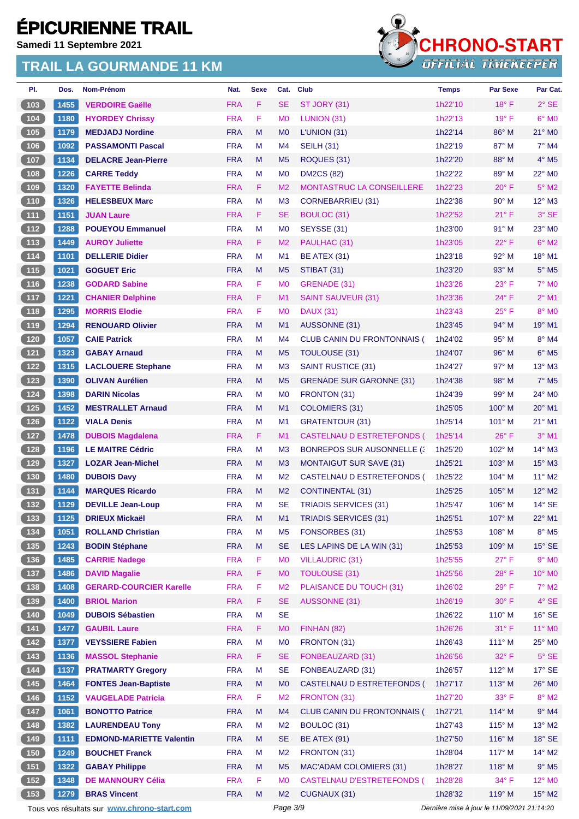**Samedi 11 Septembre 2021**



| PI.                                           | Dos. | Nom-Prénom                                  | Nat.       | <b>Sexe</b> | Cat.           | Club                               | <b>Temps</b> | <b>Par Sexe</b>                             | Par Cat.                 |
|-----------------------------------------------|------|---------------------------------------------|------------|-------------|----------------|------------------------------------|--------------|---------------------------------------------|--------------------------|
| 103                                           | 1455 | <b>VERDOIRE Gaëlle</b>                      | <b>FRA</b> | F.          | <b>SE</b>      | ST JORY (31)                       | 1h22'10      | $18^{\circ}$ F                              | $2°$ SE                  |
| 104                                           | 1180 | <b>HYORDEY Chrissy</b>                      | <b>FRA</b> | F.          | M <sub>0</sub> | LUNION (31)                        | 1h22'13      | $19°$ F                                     | $6^\circ$ MO             |
| 105                                           | 1179 | <b>MEDJADJ Nordine</b>                      | <b>FRA</b> | M           | M <sub>0</sub> | L'UNION (31)                       | 1h22'14      | 86° M                                       | 21° MO                   |
| 106                                           | 1092 | <b>PASSAMONTI Pascal</b>                    | <b>FRA</b> | M           | M4             | <b>SEILH (31)</b>                  | 1h22'19      | $87^\circ$ M                                | $7^\circ$ M4             |
| 107                                           | 1134 | <b>DELACRE Jean-Pierre</b>                  | <b>FRA</b> | M           | M <sub>5</sub> | ROQUES (31)                        | 1h22'20      | 88° M                                       | $4^\circ$ M <sub>5</sub> |
| 108                                           | 1226 | <b>CARRE Teddy</b>                          | <b>FRA</b> | M           | M <sub>0</sub> | <b>DM2CS (82)</b>                  | 1h22'22      | 89° M                                       | 22° M <sub>0</sub>       |
| 109                                           | 1320 | <b>FAYETTE Belinda</b>                      | <b>FRA</b> | F.          | M <sub>2</sub> | <b>MONTASTRUC LA CONSEILLERE</b>   | 1h22'23      | $20^\circ$ F                                | $5^\circ$ M2             |
| $\boxed{110}$                                 | 1326 | <b>HELESBEUX Marc</b>                       | <b>FRA</b> | M           | M <sub>3</sub> | <b>CORNEBARRIEU (31)</b>           | 1h22'38      | $90^\circ$ M                                | $12^{\circ}$ M3          |
| $\boxed{111}$                                 | 1151 | <b>JUAN Laure</b>                           | <b>FRA</b> | F.          | <b>SE</b>      | BOULOC (31)                        | 1h22'52      | $21^{\circ}$ F                              | $3°$ SE                  |
| $\boxed{112}$                                 | 1288 | <b>POUEYOU Emmanuel</b>                     | <b>FRA</b> | M           | M <sub>0</sub> | SEYSSE (31)                        | 1h23'00      | 91° M                                       | 23° MO                   |
| $113$                                         | 1449 | <b>AUROY Juliette</b>                       | <b>FRA</b> | F           | M <sub>2</sub> | PAULHAC (31)                       | 1h23'05      | $22^{\circ}$ F                              | $6^\circ$ M2             |
| $\boxed{114}$                                 | 1101 | <b>DELLERIE Didier</b>                      | <b>FRA</b> | M           | M <sub>1</sub> | <b>BE ATEX (31)</b>                | 1h23'18      | 92° M                                       | 18° M1                   |
| 115                                           | 1021 | <b>GOGUET Eric</b>                          | <b>FRA</b> | M           | M <sub>5</sub> | STIBAT (31)                        | 1h23'20      | $93^\circ$ M                                | $5^\circ$ M5             |
| $116$                                         | 1238 | <b>GODARD Sabine</b>                        | <b>FRA</b> | F           | M <sub>0</sub> | GRENADE (31)                       | 1h23'26      | $23^\circ$ F                                | $7^\circ$ MO             |
| 117                                           | 1221 | <b>CHANIER Delphine</b>                     | <b>FRA</b> | F.          | M1             | <b>SAINT SAUVEUR (31)</b>          | 1h23'36      | $24^{\circ}$ F                              | $2^{\circ}$ M1           |
| 118                                           | 1295 | <b>MORRIS Elodie</b>                        | <b>FRA</b> | F.          | M <sub>0</sub> | <b>DAUX (31)</b>                   | 1h23'43      | $25^{\circ}$ F                              | 8° MO                    |
| $\overline{119}$                              | 1294 | <b>RENOUARD Olivier</b>                     | <b>FRA</b> | M           | M <sub>1</sub> | AUSSONNE (31)                      | 1h23'45      | $94^\circ$ M                                | 19° M1                   |
| $120$                                         | 1057 | <b>CAIE Patrick</b>                         | <b>FRA</b> | M           | M4             | <b>CLUB CANIN DU FRONTONNAIS (</b> | 1h24'02      | 95° M                                       | 8° M4                    |
| $121$                                         | 1323 | <b>GABAY Arnaud</b>                         | <b>FRA</b> | M           | M <sub>5</sub> | TOULOUSE (31)                      | 1h24'07      | 96° M                                       | $6^\circ$ M <sub>5</sub> |
| $122$                                         | 1315 | <b>LACLOUERE Stephane</b>                   | <b>FRA</b> | M           | M <sub>3</sub> | <b>SAINT RUSTICE (31)</b>          | 1h24'27      | $97^\circ$ M                                | $13^\circ$ M3            |
| 123                                           | 1390 | <b>OLIVAN Aurélien</b>                      | <b>FRA</b> | M           | M <sub>5</sub> | <b>GRENADE SUR GARONNE (31)</b>    | 1h24'38      | $98^\circ$ M                                | $7°$ M <sub>5</sub>      |
| $124$                                         | 1398 | <b>DARIN Nicolas</b>                        | <b>FRA</b> | M           | M <sub>0</sub> | FRONTON (31)                       | 1h24'39      | $99^\circ$ M                                | 24° MO                   |
| $125$                                         | 1452 | <b>MESTRALLET Arnaud</b>                    | <b>FRA</b> | M           | M1             | <b>COLOMIERS (31)</b>              | 1h25'05      | 100° M                                      | $20^\circ$ M1            |
| 126                                           | 1122 | <b>VIALA Denis</b>                          | <b>FRA</b> | M           | M <sub>1</sub> | GRATENTOUR (31)                    | 1h25'14      | $101^\circ$ M                               | 21° M1                   |
| $127$                                         | 1478 | <b>DUBOIS Magdalena</b>                     | <b>FRA</b> | F           | M <sub>1</sub> | CASTELNAU D ESTRETEFONDS (         | 1h25'14      | $26^{\circ}$ F                              | $3°$ M1                  |
| 128                                           | 1196 | <b>LE MAITRE Cédric</b>                     | <b>FRA</b> | M           | M <sub>3</sub> | <b>BONREPOS SUR AUSONNELLE (3)</b> | 1h25'20      | $102^\circ$ M                               | $14^{\circ}$ M3          |
| 129                                           | 1327 | <b>LOZAR Jean-Michel</b>                    | <b>FRA</b> | M           | M <sub>3</sub> | <b>MONTAIGUT SUR SAVE (31)</b>     | 1h25'21      | $103^\circ$ M                               | 15° M3                   |
| 130                                           | 1480 | <b>DUBOIS Davy</b>                          | <b>FRA</b> | M           | M <sub>2</sub> | CASTELNAU D ESTRETEFONDS (         | 1h25'22      | $104^\circ$ M                               | 11° M2                   |
| $131$                                         | 1144 | <b>MARQUES Ricardo</b>                      | <b>FRA</b> | M           | M <sub>2</sub> | <b>CONTINENTAL (31)</b>            | 1h25'25      | $105^\circ$ M                               | $12^{\circ}$ M2          |
| $132$                                         | 1129 | <b>DEVILLE Jean-Loup</b>                    | <b>FRA</b> | M           | <b>SE</b>      | <b>TRIADIS SERVICES (31)</b>       | 1h25'47      | $106^\circ$ M                               | $14^{\circ}$ SE          |
| 133                                           | 1125 | <b>DRIEUX Mickaël</b>                       | <b>FRA</b> | M           | M1             | <b>TRIADIS SERVICES (31)</b>       | 1h25'51      | 107° M                                      | 22° M1                   |
| 134                                           | 1051 | <b>ROLLAND Christian</b>                    | <b>FRA</b> | M           | M <sub>5</sub> | FONSORBES (31)                     | 1h25'53      | 108° M                                      | $8^\circ$ M5             |
| $135$                                         | 1243 | <b>BODIN Stéphane</b>                       | <b>FRA</b> | M           | <b>SE</b>      | LES LAPINS DE LA WIN (31)          | 1h25'53      | 109° M                                      | $15^\circ$ SE            |
| $136$                                         | 1485 | <b>CARRIE Nadege</b>                        | <b>FRA</b> | F           | M <sub>0</sub> | <b>VILLAUDRIC (31)</b>             | 1h25'55      | $27^\circ$ F                                | $9^\circ$ MO             |
| 137                                           | 1486 | <b>DAVID Magalie</b>                        | <b>FRA</b> | F.          | M <sub>0</sub> | <b>TOULOUSE (31)</b>               | 1h25'56      | 28°F                                        | 10° MO                   |
| 138                                           | 1408 | <b>GERARD-COURCIER Karelle</b>              | <b>FRA</b> | F           | M <sub>2</sub> | PLAISANCE DU TOUCH (31)            | 1h26'02      | $29^{\circ}$ F                              | $7^\circ$ M2             |
| 139                                           | 1400 | <b>BRIOL Marion</b>                         | <b>FRA</b> | F           | <b>SE</b>      | AUSSONNE (31)                      | 1h26'19      | $30^\circ$ F                                | $4^\circ$ SE             |
| 140                                           | 1049 | <b>DUBOIS Sébastien</b>                     | <b>FRA</b> | M           | <b>SE</b>      |                                    | 1h26'22      | 110° M                                      | $16^\circ$ SE            |
| 141                                           | 1477 | <b>GAUBIL Laure</b>                         | <b>FRA</b> | F.          | M <sub>0</sub> | FINHAN (82)                        | 1h26'26      | $31^\circ$ F                                | $11^{\circ}$ MO          |
| 142                                           | 1377 | <b>VEYSSIERE Fabien</b>                     | <b>FRA</b> | M           | M <sub>0</sub> | FRONTON (31)                       | 1h26'43      | 111° M                                      | 25° MO                   |
| $\begin{array}{c} \boxed{143} \\ \end{array}$ | 1136 | <b>MASSOL Stephanie</b>                     | <b>FRA</b> | F           | <b>SE</b>      | FONBEAUZARD (31)                   | 1h26'56      | 32°F                                        | $5^{\circ}$ SE           |
| $144$                                         | 1137 | <b>PRATMARTY Gregory</b>                    | <b>FRA</b> | M           | <b>SE</b>      | FONBEAUZARD (31)                   | 1h26'57      | 112° M                                      | $17^{\circ}$ SE          |
| 145                                           | 1464 | <b>FONTES Jean-Baptiste</b>                 | <b>FRA</b> | M           | M <sub>0</sub> | CASTELNAU D ESTRETEFONDS (         | 1h27'17      | 113° M                                      | 26° MO                   |
| $146$                                         | 1152 | <b>VAUGELADE Patricia</b>                   | <b>FRA</b> | F           | M <sub>2</sub> | FRONTON (31)                       | 1h27'20      | $33^\circ$ F                                | $8^\circ$ M2             |
| $\begin{array}{c} \boxed{147} \\ \end{array}$ | 1061 | <b>BONOTTO Patrice</b>                      | <b>FRA</b> | ${\sf M}$   | M4             | <b>CLUB CANIN DU FRONTONNAIS (</b> | 1h27'21      | 114° M                                      | $9°$ M4                  |
| 148                                           | 1382 | <b>LAURENDEAU Tony</b>                      | <b>FRA</b> | M           | M <sub>2</sub> | BOULOC (31)                        | 1h27'43      | $115^\circ$ M                               | 13° M2                   |
| 149                                           | 1111 | <b>EDMOND-MARIETTE Valentin</b>             | <b>FRA</b> | M           | <b>SE</b>      | <b>BE ATEX (91)</b>                | 1h27'50      | $116^\circ$ M                               | $18^\circ$ SE            |
| $150$                                         | 1249 | <b>BOUCHET Franck</b>                       | <b>FRA</b> | M           | M <sub>2</sub> | FRONTON (31)                       | 1h28'04      | 117° M                                      | 14° M2                   |
| $151$                                         | 1322 | <b>GABAY Philippe</b>                       | <b>FRA</b> | M           | M <sub>5</sub> | <b>MAC'ADAM COLOMIERS (31)</b>     | 1h28'27      | 118° M                                      | $9^\circ$ M5             |
| 152                                           | 1348 | <b>DE MANNOURY Célia</b>                    | <b>FRA</b> | F           | M <sub>0</sub> | <b>CASTELNAU D'ESTRETEFONDS (</b>  | 1h28'28      | $34^{\circ}$ F                              | 12° MO                   |
| 153                                           | 1279 | <b>BRAS Vincent</b>                         | <b>FRA</b> | M           | M <sub>2</sub> | CUGNAUX (31)                       | 1h28'32      | 119° M                                      | 15° M2                   |
|                                               |      | Tous vos résultats sur www.chrono-start.com |            |             | Page 3/9       |                                    |              | Dernière mise à jour le 11/09/2021 21:14:20 |                          |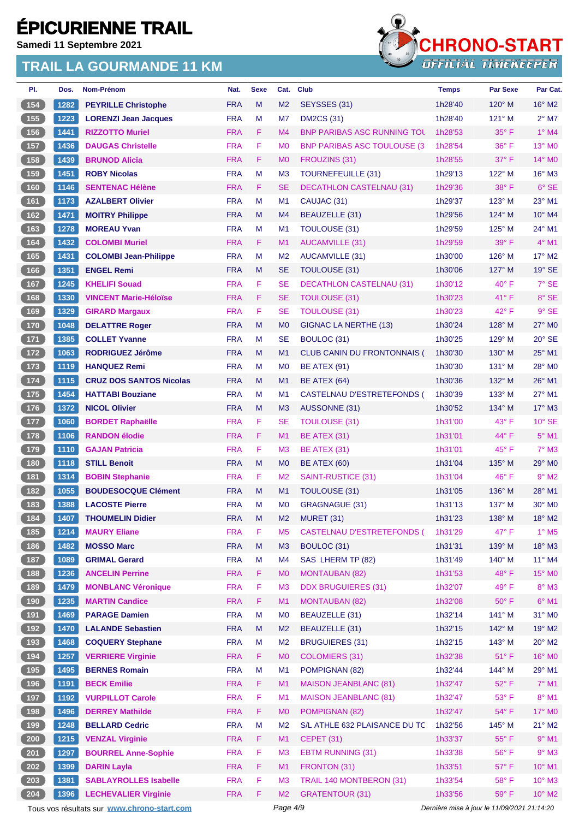**Samedi 11 Septembre 2021**



| PI.                                                     | Dos. | Nom-Prénom                                  | Nat.       | <b>Sexe</b> | Cat.           | Club                                | <b>Temps</b> | Par Sexe                                    | Par Cat.                  |
|---------------------------------------------------------|------|---------------------------------------------|------------|-------------|----------------|-------------------------------------|--------------|---------------------------------------------|---------------------------|
| 154                                                     | 1282 | <b>PEYRILLE Christophe</b>                  | <b>FRA</b> | M           | M <sub>2</sub> | SEYSSES (31)                        | 1h28'40      | $120^\circ$ M                               | $16^{\circ}$ M2           |
| 155                                                     | 1223 | <b>LORENZI Jean Jacques</b>                 | <b>FRA</b> | М           | M7             | <b>DM2CS (31)</b>                   | 1h28'40      | 121° M                                      | $2^{\circ}$ M7            |
| (156)                                                   | 1441 | <b>RIZZOTTO Muriel</b>                      | <b>FRA</b> | F           | M <sub>4</sub> | <b>BNP PARIBAS ASC RUNNING TOL</b>  | 1h28'53      | $35^{\circ}$ F                              | $1^\circ$ M4              |
| $157$                                                   | 1436 | <b>DAUGAS Christelle</b>                    | <b>FRA</b> | F           | M <sub>0</sub> | <b>BNP PARIBAS ASC TOULOUSE (3)</b> | 1h28'54      | $36^{\circ}$ F                              | 13° MO                    |
| 158                                                     | 1439 | <b>BRUNOD Alicia</b>                        | <b>FRA</b> | F           | M <sub>0</sub> | FROUZINS (31)                       | 1h28'55      | $37^\circ$ F                                | $14^{\circ}$ MO           |
| (159)                                                   | 1451 | <b>ROBY Nicolas</b>                         | <b>FRA</b> | м           | M <sub>3</sub> | <b>TOURNEFEUILLE (31)</b>           | 1h29'13      | $122^\circ$ M                               | 16° M3                    |
| (160)                                                   | 1146 | <b>SENTENAC Hélène</b>                      | <b>FRA</b> | F           | <b>SE</b>      | <b>DECATHLON CASTELNAU (31)</b>     | 1h29'36      | 38° F                                       | $6°$ SE                   |
| $161$                                                   | 1173 | <b>AZALBERT Olivier</b>                     | <b>FRA</b> | M           | M <sub>1</sub> | CAUJAC (31)                         | 1h29'37      | $123^\circ$ M                               | $23^{\circ}$ M1           |
| 162                                                     | 1471 | <b>MOITRY Philippe</b>                      | <b>FRA</b> | M           | M <sub>4</sub> | BEAUZELLE (31)                      | 1h29'56      | 124° M                                      | 10° M4                    |
| (163)                                                   | 1278 | <b>MOREAU Yvan</b>                          | <b>FRA</b> | М           | M <sub>1</sub> | TOULOUSE (31)                       | 1h29'59      | $125^\circ$ M                               | 24° M1                    |
| (164)                                                   | 1432 | <b>COLOMBI Muriel</b>                       | <b>FRA</b> | F           | M <sub>1</sub> | <b>AUCAMVILLE (31)</b>              | 1h29'59      | $39^\circ$ F                                | $4^{\circ}$ M1            |
| (165)                                                   | 1431 | <b>COLOMBI Jean-Philippe</b>                | <b>FRA</b> | M           | M <sub>2</sub> | <b>AUCAMVILLE (31)</b>              | 1h30'00      | 126° M                                      | 17° M2                    |
| (166)                                                   | 1351 | <b>ENGEL Remi</b>                           | <b>FRA</b> | M           | <b>SE</b>      | <b>TOULOUSE (31)</b>                | 1h30'06      | 127° M                                      | $19^\circ$ SE             |
| (167)                                                   | 1245 | <b>KHELIFI Souad</b>                        | <b>FRA</b> | F           | <b>SE</b>      | <b>DECATHLON CASTELNAU (31)</b>     | 1h30'12      | $40^{\circ}$ F                              | $7^\circ$ SE              |
| (168)                                                   | 1330 | <b>VINCENT Marie-Héloïse</b>                | <b>FRA</b> | F           | <b>SE</b>      | TOULOUSE (31)                       | 1h30'23      | $41^{\circ}$ F                              | 8° SE                     |
| 169                                                     | 1329 | <b>GIRARD Margaux</b>                       | <b>FRA</b> | F           | <b>SE</b>      | <b>TOULOUSE (31)</b>                | 1h30'23      | 42° F                                       | $9°$ SE                   |
| (170)                                                   | 1048 | <b>DELATTRE Roger</b>                       | <b>FRA</b> | M           | M <sub>0</sub> | <b>GIGNAC LA NERTHE (13)</b>        | 1h30'24      | $128^\circ$ M                               | $27^\circ$ MO             |
| (171)                                                   | 1385 | <b>COLLET Yvanne</b>                        | <b>FRA</b> | М           | <b>SE</b>      | BOULOC (31)                         | 1h30'25      | 129° M                                      | $20^\circ$ SE             |
| (172)                                                   | 1063 | <b>RODRIGUEZ Jérôme</b>                     | <b>FRA</b> | M           | M <sub>1</sub> | <b>CLUB CANIN DU FRONTONNAIS (</b>  | 1h30'30      | $130^\circ$ M                               | $25^{\circ}$ M1           |
| (173)                                                   | 1119 | <b>HANQUEZ Remi</b>                         | <b>FRA</b> | м           | M <sub>0</sub> | <b>BE ATEX (91)</b>                 | 1h30'30      | $131^\circ$ M                               | 28° M0                    |
| (174)                                                   | 1115 | <b>CRUZ DOS SANTOS Nicolas</b>              | <b>FRA</b> | M           | M1             | <b>BE ATEX (64)</b>                 | 1h30'36      | 132° M                                      | 26° M1                    |
| $-175$                                                  | 1454 | <b>HATTABI Bouziane</b>                     | <b>FRA</b> | M           | M <sub>1</sub> | <b>CASTELNAU D'ESTRETEFONDS (</b>   | 1h30'39      | $133^\circ$ M                               | 27° M1                    |
| (176)                                                   | 1372 | <b>NICOL Olivier</b>                        | <b>FRA</b> | M           | M <sub>3</sub> | AUSSONNE (31)                       | 1h30'52      | $134^\circ$ M                               | 17° M3                    |
| 177                                                     | 1060 | <b>BORDET Raphaëlle</b>                     | <b>FRA</b> | F           | <b>SE</b>      | <b>TOULOUSE (31)</b>                | 1h31'00      | $43^{\circ}$ F                              | $10^{\circ}$ SE           |
| (178)                                                   | 1106 | <b>RANDON élodie</b>                        | <b>FRA</b> | F           | M <sub>1</sub> | <b>BE ATEX (31)</b>                 | 1h31'01      | 44° F                                       | $5^{\circ}$ M1            |
| $179$                                                   | 1110 | <b>GAJAN Patricia</b>                       | <b>FRA</b> | F           | M <sub>3</sub> | <b>BE ATEX (31)</b>                 | 1h31'01      | $45^{\circ}$ F                              | $7°$ M3                   |
| (180)                                                   | 1118 | <b>STILL Benoit</b>                         | <b>FRA</b> | M           | M <sub>0</sub> | <b>BE ATEX (60)</b>                 | 1h31'04      | 135° M                                      | 29° M0                    |
| (181)                                                   | 1314 | <b>BOBIN Stephanie</b>                      | <b>FRA</b> | F           | M <sub>2</sub> | SAINT-RUSTICE (31)                  | 1h31'04      | 46°F                                        | $9°$ M2                   |
| (182)                                                   | 1055 | <b>BOUDESOCQUE Clément</b>                  | <b>FRA</b> | M           | M1             | TOULOUSE (31)                       | 1h31'05      | $136^\circ$ M                               | 28° M1                    |
| 183                                                     | 1388 | <b>LACOSTE Pierre</b>                       | <b>FRA</b> | M           | M <sub>0</sub> | GRAGNAGUE (31)                      | 1h31'13      | $137^\circ$ M                               | $30^\circ$ M <sub>0</sub> |
| (184)                                                   | 1407 | <b>THOUMELIN Didier</b>                     | <b>FRA</b> | M           | M <sub>2</sub> | MURET (31)                          | 1h31'23      | 138° M                                      | 18° M2                    |
| $\begin{array}{ c c } \hline 185 \\ \hline \end{array}$ | 1214 | <b>MAURY Eliane</b>                         | <b>FRA</b> | F           | M <sub>5</sub> | <b>CASTELNAU D'ESTRETEFONDS (</b>   | 1h31'29      | 47°F                                        | $1^\circ$ M <sub>5</sub>  |
| 186                                                     | 1482 | <b>MOSSO Marc</b>                           | <b>FRA</b> | M           | M <sub>3</sub> | BOULOC (31)                         | 1h31'31      | 139° M                                      | 18° M3                    |
| 187                                                     | 1089 | <b>GRIMAL Gerard</b>                        | <b>FRA</b> | M           | M4             | SAS LHERM TP (82)                   | 1h31'49      | 140° M                                      | 11° M4                    |
| (188)                                                   | 1236 | <b>ANCELIN Perrine</b>                      | <b>FRA</b> | F.          | M <sub>0</sub> | <b>MONTAUBAN (82)</b>               | 1h31'53      | $48^{\circ}$ F                              | 15° MO                    |
|                                                         |      |                                             | <b>FRA</b> | F           | M <sub>3</sub> | <b>DDX BRUGUIERES (31)</b>          | 1h32'07      | 49°F                                        | $8^\circ$ M3              |
| (189)                                                   | 1479 | <b>MONBLANC Véronique</b>                   |            |             |                |                                     |              |                                             |                           |
| (190)                                                   | 1235 | <b>MARTIN Candice</b>                       | <b>FRA</b> | F           | M <sub>1</sub> | <b>MONTAUBAN (82)</b>               | 1h32'08      | 50° F                                       | $6^{\circ}$ M1            |
| (191)                                                   | 1469 | <b>PARAGE Damien</b>                        | <b>FRA</b> | M           | M <sub>0</sub> | BEAUZELLE (31)                      | 1h32'14      | $141^\circ$ M                               | 31° MO                    |
| (192)                                                   | 1470 | <b>LALANDE Sebastien</b>                    | <b>FRA</b> | M           | M <sub>2</sub> | <b>BEAUZELLE (31)</b>               | 1h32'15      | 142° M                                      | 19° M2                    |
| (193)                                                   | 1468 | <b>COQUERY Stephane</b>                     | <b>FRA</b> | M           | M <sub>2</sub> | <b>BRUGUIERES (31)</b>              | 1h32'15      | 143° M                                      | 20° M2                    |
| (194)                                                   | 1257 | <b>VERRIERE Virginie</b>                    | <b>FRA</b> | F.          | M <sub>0</sub> | <b>COLOMIERS (31)</b>               | 1h32'38      | $51^{\circ}$ F                              | 16° MO                    |
| (195)                                                   | 1495 | <b>BERNES Romain</b>                        | <b>FRA</b> | M           | M1             | POMPIGNAN (82)                      | 1h32'44      | 144° M                                      | 29° M1                    |
| (196)                                                   | 1191 | <b>BECK Emilie</b>                          | <b>FRA</b> | F           | M1             | <b>MAISON JEANBLANC (81)</b>        | 1h32'47      | 52° F                                       | $7^\circ$ M1              |
| $197$                                                   | 1192 | <b>VURPILLOT Carole</b>                     | <b>FRA</b> | F           | M1             | <b>MAISON JEANBLANC (81)</b>        | 1h32'47      | 53° F                                       | 8° M1                     |
| 198                                                     | 1496 | <b>DERREY Mathilde</b>                      | <b>FRA</b> | F           | M <sub>0</sub> | POMPIGNAN (82)                      | 1h32'47      | 54°F                                        | 17° MO                    |
| $199$                                                   | 1248 | <b>BELLARD Cedric</b>                       | <b>FRA</b> | M           | M <sub>2</sub> | S/L ATHLE 632 PLAISANCE DU TC       | 1h32'56      | 145° M                                      | $21^\circ$ M2             |
| $\sqrt{200}$                                            | 1215 | <b>VENZAL Virginie</b>                      | <b>FRA</b> | F           | M1             | <b>CEPET (31)</b>                   | 1h33'37      | 55°F                                        | $9°$ M1                   |
| 201                                                     | 1297 | <b>BOURREL Anne-Sophie</b>                  | <b>FRA</b> | F           | M <sub>3</sub> | <b>EBTM RUNNING (31)</b>            | 1h33'38      | 56°F                                        | $9°$ M3                   |
| 202                                                     | 1399 | <b>DARIN Layla</b>                          | <b>FRA</b> | F           | M1             | FRONTON (31)                        | 1h33'51      | 57°F                                        | 10° M1                    |
| 203                                                     | 1381 | <b>SABLAYROLLES Isabelle</b>                | <b>FRA</b> | F           | M <sub>3</sub> | TRAIL 140 MONTBERON (31)            | 1h33'54      | 58°F                                        | $10^{\circ}$ M3           |
| 204                                                     | 1396 | <b>LECHEVALIER Virginie</b>                 | <b>FRA</b> | F           | M <sub>2</sub> | <b>GRATENTOUR (31)</b>              | 1h33'56      | 59°F                                        | 10° M2                    |
|                                                         |      | Tous vos résultats sur www.chrono-start.com |            |             | Page 4/9       |                                     |              | Dernière mise à jour le 11/09/2021 21:14:20 |                           |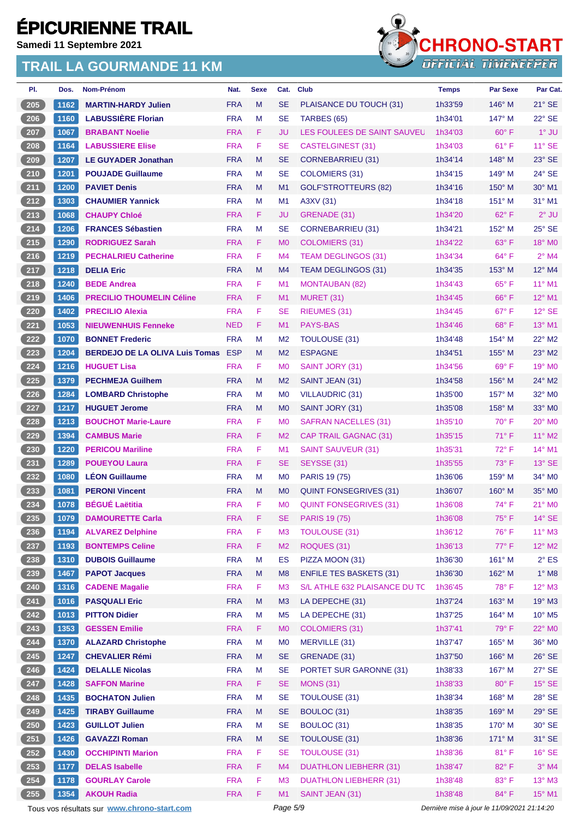**Samedi 11 Septembre 2021**



| PI.             | Dos. | Nom-Prénom                                  | Nat.       | <b>Sexe</b> | Cat.           | <b>Club</b>                    | <b>Temps</b> | <b>Par Sexe</b>                             | Par Cat.        |
|-----------------|------|---------------------------------------------|------------|-------------|----------------|--------------------------------|--------------|---------------------------------------------|-----------------|
| 205             | 1162 | <b>MARTIN-HARDY Julien</b>                  | <b>FRA</b> | M           | <b>SE</b>      | PLAISANCE DU TOUCH (31)        | 1h33'59      | $146^\circ$ M                               | $21^\circ$ SE   |
| 206             | 1160 | <b>LABUSSIÈRE Florian</b>                   | <b>FRA</b> | М           | <b>SE</b>      | <b>TARBES (65)</b>             | 1h34'01      | 147° M                                      | 22° SE          |
| $207$           | 1067 | <b>BRABANT Noelie</b>                       | <b>FRA</b> | F           | JU             | LES FOULEES DE SAINT SAUVEL    | 1h34'03      | $60^\circ$ F                                | $1^\circ$ JU    |
| 208             | 1164 | <b>LABUSSIERE Elise</b>                     | <b>FRA</b> | F           | <b>SE</b>      | CASTELGINEST (31)              | 1h34'03      | $61^{\circ}$ F                              | $11^\circ$ SE   |
| 209             | 1207 | <b>LE GUYADER Jonathan</b>                  | <b>FRA</b> | M           | <b>SE</b>      | CORNEBARRIEU (31)              | 1h34'14      | 148° M                                      | 23° SE          |
| 210             | 1201 | <b>POUJADE Guillaume</b>                    | <b>FRA</b> | M           | <b>SE</b>      | COLOMIERS (31)                 | 1h34'15      | $149^\circ$ M                               | 24° SE          |
| 211             | 1200 | <b>PAVIET Denis</b>                         | <b>FRA</b> | M           | M1             | <b>GOLF'STROTTEURS (82)</b>    | 1h34'16      | $150^\circ$ M                               | 30° M1          |
| 212             | 1303 | <b>CHAUMIER Yannick</b>                     | <b>FRA</b> | М           | M <sub>1</sub> | A3XV (31)                      | 1h34'18      | 151° M                                      | 31° M1          |
| 213             | 1068 | <b>CHAUPY Chloé</b>                         | <b>FRA</b> | F           | JU             | GRENADE (31)                   | 1h34'20      | 62°F                                        | $2^{\circ}$ JU  |
| $214$           | 1206 | <b>FRANCES Sébastien</b>                    | <b>FRA</b> | M           | <b>SE</b>      | <b>CORNEBARRIEU (31)</b>       | 1h34'21      | 152° M                                      | $25^{\circ}$ SE |
| $215$           | 1290 | <b>RODRIGUEZ Sarah</b>                      | <b>FRA</b> | F           | M <sub>0</sub> | <b>COLOMIERS (31)</b>          | 1h34'22      | $63^\circ$ F                                | 18° MO          |
| 216             | 1219 | <b>PECHALRIEU Catherine</b>                 | <b>FRA</b> | F           | M <sub>4</sub> | <b>TEAM DEGLINGOS (31)</b>     | 1h34'34      | $64^{\circ}$ F                              | $2^{\circ}$ M4  |
| $217$           | 1218 | <b>DELIA Eric</b>                           | <b>FRA</b> | M           | M4             | <b>TEAM DEGLINGOS (31)</b>     | 1h34'35      | $153^\circ$ M                               | 12° M4          |
| $218$           | 1240 | <b>BEDE Andrea</b>                          | <b>FRA</b> | F           | M <sub>1</sub> | <b>MONTAUBAN (82)</b>          | 1h34'43      | $65^{\circ}$ F                              | 11° M1          |
| 219             | 1406 | <b>PRECILIO THOUMELIN Céline</b>            | <b>FRA</b> | F           | M <sub>1</sub> | MURET (31)                     | 1h34'45      | 66°F                                        | 12° M1          |
| 220             | 1402 | <b>PRECILIO Alexia</b>                      | <b>FRA</b> | F           | SE             | RIEUMES (31)                   | 1h34'45      | 67°F                                        | $12^\circ$ SE   |
| 221             | 1053 | <b>NIEUWENHUIS Fenneke</b>                  | <b>NED</b> | F           | M <sub>1</sub> | <b>PAYS-BAS</b>                | 1h34'46      | $68^{\circ}$ F                              | 13° M1          |
| 222             | 1070 | <b>BONNET Frederic</b>                      | <b>FRA</b> | M           | M <sub>2</sub> | <b>TOULOUSE (31)</b>           | 1h34'48      | 154° M                                      | $22^{\circ}$ M2 |
| $\frac{223}{ }$ |      |                                             | <b>ESP</b> | M           |                | <b>ESPAGNE</b>                 |              |                                             | 23° M2          |
|                 | 1204 | <b>BERDEJO DE LA OLIVA Luis Tomas</b>       |            | F           | M <sub>2</sub> |                                | 1h34'51      | $155^{\circ}$ M                             |                 |
| 224             | 1216 | <b>HUGUET Lisa</b>                          | <b>FRA</b> |             | M <sub>0</sub> | SAINT JORY (31)                | 1h34'56      | $69^{\circ}$ F                              | $19^\circ$ MO   |
| 225             | 1379 | <b>PECHMEJA Guilhem</b>                     | <b>FRA</b> | M           | M <sub>2</sub> | SAINT JEAN (31)                | 1h34'58      | 156° M                                      | 24° M2          |
| $226$           | 1284 | <b>LOMBARD Christophe</b>                   | <b>FRA</b> | М           | M <sub>0</sub> | VILLAUDRIC (31)                | 1h35'00      | $157^\circ$ M                               | $32^\circ$ MO   |
| 227             | 1217 | <b>HUGUET Jerome</b>                        | <b>FRA</b> | M           | M <sub>0</sub> | SAINT JORY (31)                | 1h35'08      | 158° M                                      | 33° MO          |
| 228             | 1213 | <b>BOUCHOT Marie-Laure</b>                  | <b>FRA</b> | F           | M <sub>0</sub> | SAFRAN NACELLES (31)           | 1h35'10      | 70° F                                       | 20° MO          |
| 229             | 1394 | <b>CAMBUS Marie</b>                         | <b>FRA</b> | F           | M <sub>2</sub> | CAP TRAIL GAGNAC (31)          | 1h35'15      | $71^\circ$ F                                | $11^{\circ}$ M2 |
| 230             | 1220 | <b>PERICOU Mariline</b>                     | <b>FRA</b> | F           | M <sub>1</sub> | SAINT SAUVEUR (31)             | 1h35'31      | $72^{\circ}$ F                              | 14° M1          |
| 231             | 1289 | <b>POUEYOU Laura</b>                        | <b>FRA</b> | F           | <b>SE</b>      | SEYSSE (31)                    | 1h35'55      | $73^\circ$ F                                | 13° SE          |
| 232             | 1080 | <b>LÉON Guillaume</b>                       | <b>FRA</b> | M           | M <sub>0</sub> | <b>PARIS 19 (75)</b>           | 1h36'06      | 159° M                                      | 34° MO          |
| 233             | 1081 | <b>PERONI Vincent</b>                       | <b>FRA</b> | M           | M <sub>0</sub> | <b>QUINT FONSEGRIVES (31)</b>  | 1h36'07      | $160^\circ$ M                               | 35° MO          |
| 234             | 1078 | <b>BÉGUÉ Laëtitia</b>                       | <b>FRA</b> | F           | M <sub>0</sub> | <b>QUINT FONSEGRIVES (31)</b>  | 1h36'08      | 74° F                                       | 21° MO          |
| 235             | 1079 | <b>DAMOURETTE Carla</b>                     | <b>FRA</b> | F           | SE             | <b>PARIS 19 (75)</b>           | 1h36'08      | $75^{\circ}$ F                              | $14^{\circ}$ SE |
| 236             | 1194 | <b>ALVAREZ Delphine</b>                     | <b>FRA</b> | F           | M <sub>3</sub> | <b>TOULOUSE (31)</b>           | 1h36'12      | 76°F                                        | 11° M3          |
| $237$           | 1193 | <b>BONTEMPS Celine</b>                      | <b>FRA</b> | F           | M2             | ROQUES (31)                    | 1h36'13      | 77°F                                        | $12^{\circ}$ M2 |
| 238             | 1310 | <b>DUBOIS Guillaume</b>                     | <b>FRA</b> | M           | ES             | PIZZA MOON (31)                | 1h36'30      | 161° M                                      | $2^{\circ}$ ES  |
| 239             | 1467 | <b>PAPOT Jacques</b>                        | <b>FRA</b> | M           | M <sub>8</sub> | <b>ENFILE TES BASKETS (31)</b> | 1h36'30      | 162° M                                      | $1^\circ$ M8    |
| $240$           | 1316 | <b>CADENE Magalie</b>                       | <b>FRA</b> | F           | M3             | S/L ATHLE 632 PLAISANCE DU TC  | 1h36'45      | 78° F                                       | 12° M3          |
| 241             | 1016 | <b>PASQUALI Eric</b>                        | <b>FRA</b> | M           | M <sub>3</sub> | LA DEPECHE (31)                | 1h37'24      | 163° M                                      | 19° M3          |
| 242             | 1013 | <b>PITTON Didier</b>                        | <b>FRA</b> | M           | M <sub>5</sub> | LA DEPECHE (31)                | 1h37'25      | 164° M                                      | 10° M5          |
| 243             | 1353 | <b>GESSEN Emilie</b>                        | <b>FRA</b> | F           | <b>MO</b>      | <b>COLOMIERS (31)</b>          | 1h37'41      | 79° F                                       | 22° MO          |
| 244             | 1370 | <b>ALAZARD Christophe</b>                   | <b>FRA</b> | M           | M <sub>0</sub> | MERVILLE (31)                  | 1h37'47      | 165° M                                      | 36° MO          |
| $245$           | 1247 | <b>CHEVALIER Rémi</b>                       | <b>FRA</b> | M           | <b>SE</b>      | GRENADE (31)                   | 1h37'50      | 166° M                                      | $26^\circ$ SE   |
| 246             | 1424 | <b>DELALLE Nicolas</b>                      | <b>FRA</b> | M           | <b>SE</b>      | PORTET SUR GARONNE (31)        | 1h38'33      | 167° M                                      | $27^\circ$ SE   |
| 247             | 1428 | <b>SAFFON Marine</b>                        | <b>FRA</b> | F           | <b>SE</b>      | <b>MONS (31)</b>               | 1h38'33      | $80^\circ$ F                                | $15^\circ$ SE   |
| $248$           | 1435 | <b>BOCHATON Julien</b>                      | <b>FRA</b> | M           | <b>SE</b>      | <b>TOULOUSE (31)</b>           | 1h38'34      | 168° M                                      | $28^\circ$ SE   |
| 249             | 1425 | <b>TIRABY Guillaume</b>                     | <b>FRA</b> | M           | <b>SE</b>      | BOULOC (31)                    | 1h38'35      | 169° M                                      | $29^\circ$ SE   |
| 250             | 1423 | <b>GUILLOT Julien</b>                       | <b>FRA</b> | M           | <b>SE</b>      | BOULOC (31)                    | 1h38'35      | $170^\circ$ M                               | $30^\circ$ SE   |
| $251$           | 1426 | <b>GAVAZZI Roman</b>                        | <b>FRA</b> | M           | <b>SE</b>      | TOULOUSE (31)                  | 1h38'36      | $171^\circ$ M                               | $31^\circ$ SE   |
| 252             | 1430 | <b>OCCHIPINTI Marion</b>                    | <b>FRA</b> | F           | <b>SE</b>      | <b>TOULOUSE (31)</b>           | 1h38'36      | 81°F                                        | $16^\circ$ SE   |
| 253             | 1177 | <b>DELAS Isabelle</b>                       | <b>FRA</b> | F           | M4             | <b>DUATHLON LIEBHERR (31)</b>  | 1h38'47      | 82°F                                        | $3°$ M4         |
| 254             | 1178 | <b>GOURLAY Carole</b>                       | <b>FRA</b> | F           | M3             | <b>DUATHLON LIEBHERR (31)</b>  | 1h38'48      | 83° F                                       | 13° M3          |
| 255             | 1354 | <b>AKOUH Radia</b>                          | <b>FRA</b> | F           | M1             | SAINT JEAN (31)                | 1h38'48      | 84° F                                       | 15° M1          |
|                 |      | Tous vos résultats sur www.chrono-start.com |            |             | Page 5/9       |                                |              | Dernière mise à jour le 11/09/2021 21:14:20 |                 |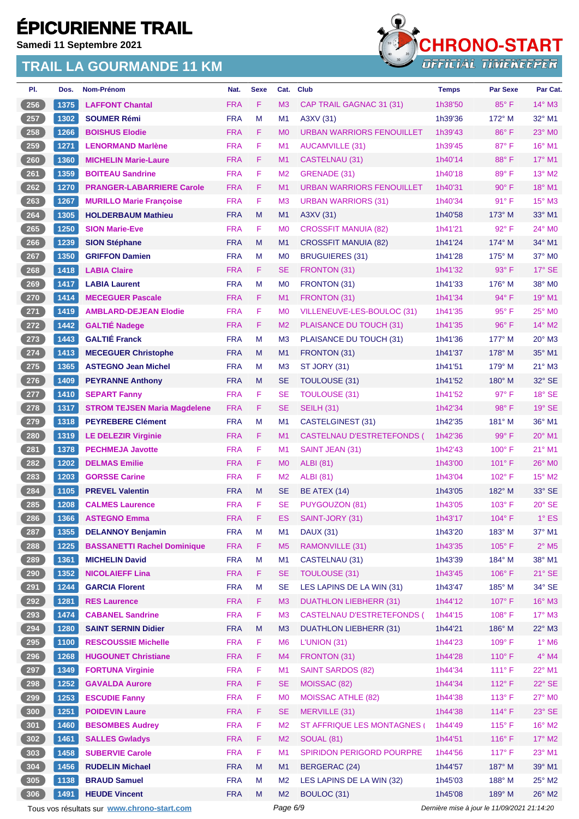**Samedi 11 Septembre 2021**

### **TRAIL LA GOURMANDE 11 KM**



| PI.                | Dos. | Nom-Prénom                          | Nat.       | <b>Sexe</b> | Cat.           | <b>Club</b>                        | <b>Temps</b> | <b>Par Sexe</b> | Par Cat.                   |
|--------------------|------|-------------------------------------|------------|-------------|----------------|------------------------------------|--------------|-----------------|----------------------------|
| 256                | 1375 | <b>LAFFONT Chantal</b>              | <b>FRA</b> | F           | M <sub>3</sub> | CAP TRAIL GAGNAC 31 (31)           | 1h38'50      | 85°F            | $14^\circ$ M3              |
| 257                | 1302 | <b>SOUMER Rémi</b>                  | <b>FRA</b> | M           | M <sub>1</sub> | A3XV (31)                          | 1h39'36      | 172° M          | 32° M1                     |
| 258                | 1266 | <b>BOISHUS Elodie</b>               | <b>FRA</b> | F           | M <sub>0</sub> | <b>URBAN WARRIORS FENOUILLET</b>   | 1h39'43      | $86^{\circ}$ F  | 23° MO                     |
| 259                | 1271 | <b>LENORMAND Marlène</b>            | <b>FRA</b> | F           | M1             | <b>AUCAMVILLE (31)</b>             | 1h39'45      | $87^\circ$ F    | 16° M1                     |
| 260                | 1360 | <b>MICHELIN Marie-Laure</b>         | <b>FRA</b> | F.          | M1             | CASTELNAU (31)                     | 1h40'14      | 88°F            | 17° M1                     |
| 261                | 1359 | <b>BOITEAU Sandrine</b>             | <b>FRA</b> | F           | M <sub>2</sub> | GRENADE (31)                       | 1h40'18      | 89°F            | 13° M2                     |
| 262                | 1270 | <b>PRANGER-LABARRIERE Carole</b>    | <b>FRA</b> | F           | M1             | <b>URBAN WARRIORS FENOUILLET</b>   | 1h40'31      | $90^\circ$ F    | 18° M1                     |
| 263                | 1267 | <b>MURILLO Marie Françoise</b>      | <b>FRA</b> | F           | M <sub>3</sub> | <b>URBAN WARRIORS (31)</b>         | 1h40'34      | $91^{\circ}$ F  | 15° M3                     |
| 264                | 1305 | <b>HOLDERBAUM Mathieu</b>           | <b>FRA</b> | M           | M <sub>1</sub> | A3XV (31)                          | 1h40'58      | $173^\circ$ M   | 33° M1                     |
| $265$              | 1250 | <b>SION Marie-Eve</b>               | <b>FRA</b> | F           | M <sub>0</sub> | <b>CROSSFIT MANUIA (82)</b>        | 1h41'21      | 92° F           | 24° MO                     |
| 266                | 1239 | <b>SION Stéphane</b>                | <b>FRA</b> | M           | M1             | <b>CROSSFIT MANUIA (82)</b>        | 1h41'24      | $174^\circ$ M   | 34° M1                     |
| 267                | 1350 | <b>GRIFFON Damien</b>               | <b>FRA</b> | M           | M <sub>0</sub> | <b>BRUGUIERES (31)</b>             | 1h41'28      | 175° M          | 37° MO                     |
| 268                | 1418 | <b>LABIA Claire</b>                 | <b>FRA</b> | F           | <b>SE</b>      | FRONTON (31)                       | 1h41'32      | $93^\circ$ F    | $17^\circ$ SE              |
| 269                | 1417 | <b>LABIA Laurent</b>                | <b>FRA</b> | M           | M <sub>0</sub> | FRONTON (31)                       | 1h41'33      | 176° M          | 38° MO                     |
| 270                | 1414 | <b>MECEGUER Pascale</b>             | <b>FRA</b> | F.          | M1             | FRONTON (31)                       | 1h41'34      | $94^{\circ}$ F  | 19° M1                     |
| $271$              | 1419 | <b>AMBLARD-DEJEAN Elodie</b>        | <b>FRA</b> | F           | M <sub>0</sub> | VILLENEUVE-LES-BOULOC (31)         | 1h41'35      | 95° F           | 25° MO                     |
| 272                | 1442 | <b>GALTIÉ Nadege</b>                | <b>FRA</b> | F           | M <sub>2</sub> | PLAISANCE DU TOUCH (31)            | 1h41'35      | $96^{\circ}$ F  | 14° M2                     |
| $273$              | 1443 | <b>GALTIÉ Franck</b>                | <b>FRA</b> | M           | M <sub>3</sub> | PLAISANCE DU TOUCH (31)            | 1h41'36      | 177° M          | $20^\circ$ M3              |
| 274                | 1413 | <b>MECEGUER Christophe</b>          | <b>FRA</b> | M           | M <sub>1</sub> | FRONTON (31)                       | 1h41'37      | $178^\circ$ M   | $35^\circ$ M1              |
| $275$              | 1365 | <b>ASTEGNO Jean Michel</b>          | <b>FRA</b> | м           | M <sub>3</sub> | ST JORY (31)                       | 1h41'51      | $179^\circ$ M   | $21^\circ$ M3              |
| 276                | 1409 | <b>PEYRANNE Anthony</b>             | <b>FRA</b> | M           | <b>SE</b>      | TOULOUSE (31)                      | 1h41'52      | $180^\circ$ M   | 32° SE                     |
| 277                | 1410 | <b>SEPART Fanny</b>                 | <b>FRA</b> | F           | <b>SE</b>      | <b>TOULOUSE (31)</b>               | 1h41'52      | $97^\circ$ F    | $18°$ SE                   |
| 278                | 1317 | <b>STROM TEJSEN Maria Magdelene</b> | <b>FRA</b> | F.          | <b>SE</b>      | <b>SEILH (31)</b>                  | 1h42'34      | 98°F            | 19° SE                     |
| $279$              | 1318 | <b>PEYREBERE Clément</b>            | <b>FRA</b> | M           | M1             | CASTELGINEST (31)                  | 1h42'35      | $181^\circ$ M   | 36° M1                     |
| 280                | 1319 | <b>LE DELEZIR Virginie</b>          | <b>FRA</b> | F.          | M1             | CASTELNAU D'ESTRETEFONDS (         | 1h42'36      | 99° F           | 20° M1                     |
| 281                | 1378 | <b>PECHMEJA Javotte</b>             | <b>FRA</b> | F           | M1             | SAINT JEAN (31)                    | 1h42'43      | 100° F          | 21° M1                     |
| 282                | 1202 | <b>DELMAS Emilie</b>                | <b>FRA</b> | F.          | M <sub>0</sub> | <b>ALBI</b> (81)                   | 1h43'00      | $101^\circ$ F   | 26° MO                     |
| $283$              | 1203 | <b>GORSSE Carine</b>                | <b>FRA</b> | F           | M <sub>2</sub> | <b>ALBI</b> (81)                   | 1h43'04      | $102^{\circ}$ F | 15° M2                     |
| 284                | 1105 | <b>PREVEL Valentin</b>              | <b>FRA</b> | M           | <b>SE</b>      | <b>BE ATEX (14)</b>                | 1h43'05      | 182° M          | 33° SE                     |
| 285                | 1208 | <b>CALMES Laurence</b>              | <b>FRA</b> | F           | <b>SE</b>      | PUYGOUZON (81)                     | 1h43'05      | 103° F          | $20^{\circ}$ SE            |
| (286)              | 1366 | <b>ASTEGNO Emma</b>                 | <b>FRA</b> | F           | ES             | SAINT-JORY (31)                    | 1h43'17      | 104°F           | $1^\circ$ ES               |
| $287$              | 1355 | <b>DELANNOY Benjamin</b>            | <b>FRA</b> | M           | M1             | <b>DAUX (31)</b>                   | 1h43'20      | 183° M          | 37° M1                     |
| 288                | 1225 | <b>BASSANETTI Rachel Dominique</b>  | <b>FRA</b> | F           | M <sub>5</sub> | RAMONVILLE (31)                    | 1h43'35      | $105^\circ$ F   | $2^{\circ}$ M <sub>5</sub> |
| 289                | 1361 | <b>MICHELIN David</b>               | <b>FRA</b> | M           | M1             | CASTELNAU (31)                     | 1h43'39      | 184° M          | 38° M1                     |
| $\frac{290}{ }$    | 1352 | <b>NICOLAIEFF Lina</b>              | <b>FRA</b> | F.          | <b>SE</b>      | <b>TOULOUSE (31)</b>               | 1h43'45      | 106°F           | 21° SE                     |
| 291                | 1244 | <b>GARCIA Florent</b>               | <b>FRA</b> | M           | <b>SE</b>      | LES LAPINS DE LA WIN (31)          | 1h43'47      | 185° M          | 34° SE                     |
| 292                | 1281 | <b>RES Laurence</b>                 | <b>FRA</b> | F           | M <sub>3</sub> | <b>DUATHLON LIEBHERR (31)</b>      | 1h44'12      | 107°F           | 16° M3                     |
| $293$              | 1474 | <b>CABANEL Sandrine</b>             | <b>FRA</b> | F           | M <sub>3</sub> | <b>CASTELNAU D'ESTRETEFONDS (</b>  | 1h44'15      | 108° F          | 17° M3                     |
| 294                | 1280 | <b>SAINT SERNIN Didier</b>          | <b>FRA</b> | ${\sf M}$   | M <sub>3</sub> | DUATHLON LIEBHERR (31)             | 1h44'21      | 186° M          | 22° M3                     |
| 295                | 1100 | <b>RESCOUSSIE Michelle</b>          | <b>FRA</b> | F           | M <sub>6</sub> | L'UNION (31)                       | 1h44'23      | 109° F          | $1^\circ$ M6               |
| $\frac{296}{2}$    | 1268 | <b>HUGOUNET Christiane</b>          | <b>FRA</b> | F           | M4             | FRONTON (31)                       | 1h44'28      | $110^{\circ}$ F | $4^\circ$ M4               |
| 297                | 1349 | <b>FORTUNA Virginie</b>             | <b>FRA</b> | F           | M1             | <b>SAINT SARDOS (82)</b>           | 1h44'34      | $111^{\circ}$ F | 22° M1                     |
| $298$              | 1252 | <b>GAVALDA Aurore</b>               | <b>FRA</b> | F           | <b>SE</b>      | MOISSAC (82)                       | 1h44'34      | $112^{\circ}$ F | 22° SE                     |
| 299                | 1253 | <b>ESCUDIE Fanny</b>                | <b>FRA</b> | F           | M <sub>0</sub> | <b>MOISSAC ATHLE (82)</b>          | 1h44'38      | 113° F          | 27° M0                     |
| 300                | 1251 | <b>POIDEVIN Laure</b>               | <b>FRA</b> | F           | <b>SE</b>      | MERVILLE (31)                      | 1h44'38      | 114°F           | 23° SE                     |
| 301                | 1460 | <b>BESOMBES Audrey</b>              | <b>FRA</b> | F           | M <sub>2</sub> | <b>ST AFFRIQUE LES MONTAGNES (</b> | 1h44'49      | $115^\circ$ F   | 16° M2                     |
| $\left(302\right)$ | 1461 | <b>SALLES Gwladys</b>               | <b>FRA</b> | F           | M <sub>2</sub> | <b>SOUAL (81)</b>                  | 1h44'51      | $116°$ F        | 17° M2                     |
| 303                | 1458 | <b>SUBERVIE Carole</b>              | <b>FRA</b> | F           | M1             | SPIRIDON PERIGORD POURPRE          | 1h44'56      | 117°F           | 23° M1                     |
| 304                | 1456 | <b>RUDELIN Michael</b>              | <b>FRA</b> | M           | M1             | <b>BERGERAC (24)</b>               | 1h44'57      | 187° M          | 39° M1                     |
| 305                | 1138 | <b>BRAUD Samuel</b>                 | <b>FRA</b> | M           | M <sub>2</sub> | LES LAPINS DE LA WIN (32)          | 1h45'03      | 188° M          | 25° M2                     |
| 306                | 1491 | <b>HEUDE Vincent</b>                | <b>FRA</b> | M           | M <sub>2</sub> | BOULOC (31)                        | 1h45'08      | 189° M          | 26° M2                     |

Tous vos résultats sur **[www.chrono-start.com](https://www.chrono-start.com/)** Page 6/9 Page 6/9 Dernière mise à jour le 11/09/2021 21:14:20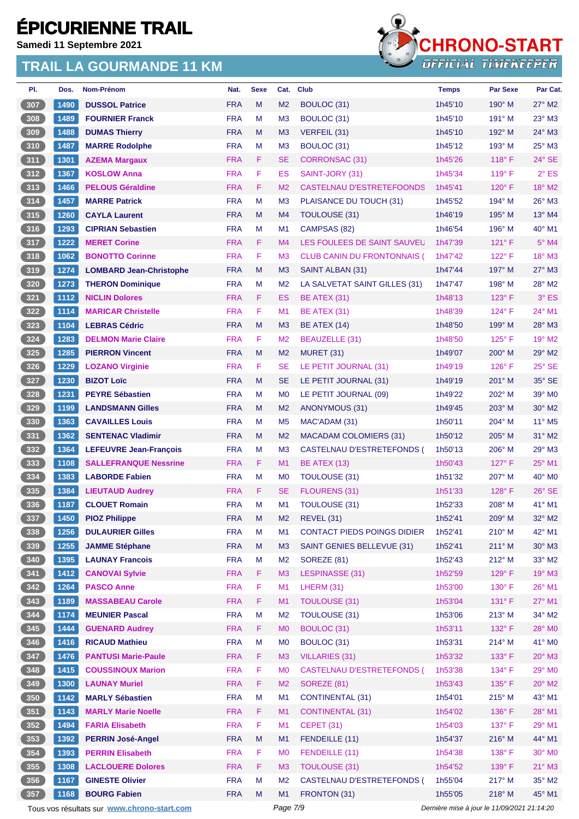**Samedi 11 Septembre 2021**



| PI.                 | Dos.           | Nom-Prénom                                  | Nat.       | <b>Sexe</b> | Cat.           | <b>Club</b>                        | <b>Temps</b>                                | <b>Par Sexe</b> | Par Cat.                    |
|---------------------|----------------|---------------------------------------------|------------|-------------|----------------|------------------------------------|---------------------------------------------|-----------------|-----------------------------|
| 307                 | 1490           | <b>DUSSOL Patrice</b>                       | <b>FRA</b> | M           | M <sub>2</sub> | BOULOC (31)                        | 1h45'10                                     | $190^\circ$ M   | $27^\circ$ M2               |
| 308                 | 1489           | <b>FOURNIER Franck</b>                      | <b>FRA</b> | M           | M <sub>3</sub> | BOULOC (31)                        | 1h45'10                                     | $191^\circ$ M   | $23^\circ$ M3               |
| 309                 | 1488           | <b>DUMAS Thierry</b>                        | <b>FRA</b> | M           | M <sub>3</sub> | VERFEIL (31)                       | 1h45'10                                     | 192° M          | 24° M3                      |
| 310                 | 1487           | <b>MARRE Rodolphe</b>                       | <b>FRA</b> | M           | M <sub>3</sub> | BOULOC (31)                        | 1h45'12                                     | $193^\circ$ M   | $25^\circ$ M3               |
| 311                 | 1301           | <b>AZEMA Margaux</b>                        | <b>FRA</b> | F           | <b>SE</b>      | <b>CORRONSAC (31)</b>              | 1h45'26                                     | 118° F          | $24^\circ$ SE               |
| 312                 | 1367           | <b>KOSLOW Anna</b>                          | <b>FRA</b> | F           | ES             | SAINT-JORY (31)                    | 1h45'34                                     | $119^\circ$ F   | $2^{\circ}$ ES              |
| 313                 | 1466           | <b>PELOUS Géraldine</b>                     | <b>FRA</b> | F           | M <sub>2</sub> | <b>CASTELNAU D'ESTRETEFOONDS</b>   | 1h45'41                                     | $120^\circ$ F   | 18° M2                      |
| 314                 | 1457           | <b>MARRE Patrick</b>                        | <b>FRA</b> | M           | M <sub>3</sub> | PLAISANCE DU TOUCH (31)            | 1h45'52                                     | $194^\circ$ M   | 26° M3                      |
| 315                 | 1260           | <b>CAYLA Laurent</b>                        | <b>FRA</b> | M           | M4             | TOULOUSE (31)                      | 1h46'19                                     | 195° M          | $13^{\circ}$ M4             |
| 316                 | 1293           | <b>CIPRIAN Sebastien</b>                    | <b>FRA</b> | M           | M <sub>1</sub> | CAMPSAS (82)                       | 1h46'54                                     | $196^\circ$ M   | $40^{\circ}$ M1             |
| 317                 | 1222           | <b>MERET Corine</b>                         | <b>FRA</b> | F           | M <sub>4</sub> | LES FOULEES DE SAINT SAUVEL        | 1h47'39                                     | $121^\circ$ F   | $5^\circ$ M4                |
| 318                 | 1062           | <b>BONOTTO Corinne</b>                      | <b>FRA</b> | F           | M <sub>3</sub> | <b>CLUB CANIN DU FRONTONNAIS (</b> | 1h47'42                                     | $122^{\circ}$ F | 18° M3                      |
| 319                 | 1274           | <b>LOMBARD Jean-Christophe</b>              | <b>FRA</b> | M           | M <sub>3</sub> | SAINT ALBAN (31)                   | 1h47'44                                     | $197^\circ$ M   | $27^\circ$ M3               |
| 320                 | 1273           | <b>THERON Dominique</b>                     | <b>FRA</b> | M           | M <sub>2</sub> | LA SALVETAT SAINT GILLES (31)      | 1h47'47                                     | 198° M          | 28° M2                      |
| 321                 | 1112           | <b>NICLIN Dolores</b>                       | <b>FRA</b> | F           | ES             | <b>BE ATEX (31)</b>                | 1h48'13                                     | $123^\circ$ F   | $3°$ ES                     |
| 322                 | 1114           | <b>MARICAR Christelle</b>                   | <b>FRA</b> | F           | M <sub>1</sub> | <b>BE ATEX (31)</b>                | 1h48'39                                     | $124^\circ$ F   | 24° M1                      |
| 323                 | 1104           | <b>LEBRAS Cédric</b>                        | <b>FRA</b> | M           | M <sub>3</sub> | <b>BE ATEX (14)</b>                | 1h48'50                                     | 199° M          | 28° M3                      |
| 324                 | 1283           | <b>DELMON Marie Claire</b>                  | <b>FRA</b> | F           | M <sub>2</sub> | <b>BEAUZELLE (31)</b>              | 1h48'50                                     | $125^\circ$ F   | $19^\circ$ M2               |
| 325                 | 1285           | <b>PIERRON Vincent</b>                      | <b>FRA</b> | M           | M <sub>2</sub> | MURET (31)                         | 1h49'07                                     | $200^\circ$ M   | $29^\circ$ M2               |
| 326                 | 1229           | <b>LOZANO Virginie</b>                      | <b>FRA</b> | F           | SE             | LE PETIT JOURNAL (31)              | 1h49'19                                     | $126^\circ$ F   | $25^\circ$ SE               |
| 327                 | 1230           | <b>BIZOT Loïc</b>                           | <b>FRA</b> | M           | SE             | LE PETIT JOURNAL (31)              | 1h49'19                                     | 201° M          | 35° SE                      |
| 328                 | 1231           | <b>PEYRE Sébastien</b>                      | <b>FRA</b> | M           | M <sub>0</sub> | LE PETIT JOURNAL (09)              | 1h49'22                                     | $202^\circ$ M   | 39° MO                      |
| 329                 | 1199           | <b>LANDSMANN Gilles</b>                     | <b>FRA</b> | M           | M <sub>2</sub> | ANONYMOUS (31)                     | 1h49'45                                     | $203^\circ$ M   | $30^\circ$ M2               |
| 330                 | 1363           | <b>CAVAILLES Louis</b>                      | <b>FRA</b> | M           | M <sub>5</sub> | MAC'ADAM (31)                      | 1h50'11                                     | 204° M          | $11^{\circ}$ M <sub>5</sub> |
| 331                 | 1362           | <b>SENTENAC Vladimir</b>                    | <b>FRA</b> | M           | M <sub>2</sub> | <b>MACADAM COLOMIERS (31)</b>      | 1h50'12                                     | $205^\circ$ M   | 31° M2                      |
| 332                 | 1364           | <b>LEFEUVRE Jean-François</b>               | <b>FRA</b> | M           | M <sub>3</sub> | <b>CASTELNAU D'ESTRETEFONDS (</b>  | 1h50'13                                     | $206^\circ$ M   | $29^\circ$ M3               |
| 333                 | 1108           | <b>SALLEFRANQUE Nessrine</b>                | <b>FRA</b> | F           | M1             | <b>BE ATEX (13)</b>                | 1h50'43                                     | $127^\circ$ F   | 25° M1                      |
| 334                 | 1383           | <b>LABORDE Fabien</b>                       | <b>FRA</b> | M           | M <sub>0</sub> | TOULOUSE (31)                      | 1h51'32                                     | $207^\circ$ M   | 40° M0                      |
| 335                 | 1384           | <b>LIEUTAUD Audrey</b>                      | <b>FRA</b> | F           | <b>SE</b>      | <b>FLOURENS (31)</b>               | 1h51'33                                     | $128^\circ$ F   | $26^\circ$ SE               |
| 336                 | 1187           | <b>CLOUET Romain</b>                        | <b>FRA</b> | M           | M <sub>1</sub> | <b>TOULOUSE (31)</b>               | 1h52'33                                     | $208^\circ$ M   | 41° M1                      |
| $\left( 337\right)$ | $\boxed{1450}$ | <b>PIOZ Philippe</b>                        | <b>FRA</b> | M           | M <sub>2</sub> | REVEL (31)                         | 1h52'41                                     | 209° M          | 32° M2                      |
| 338                 | 1256           | <b>DULAURIER Gilles</b>                     | <b>FRA</b> | M           | M1             | CONTACT PIEDS POINGS DIDIER        | 1h52'41                                     | $210^\circ$ M   | 42° M1                      |
| 339                 | 1255           | <b>JAMME Stéphane</b>                       | <b>FRA</b> | M           | M3             | SAINT GENIES BELLEVUE (31)         | 1h52'41                                     | $211^\circ$ M   | $30^\circ$ M3               |
| 340                 | 1395           | <b>LAUNAY Francois</b>                      | <b>FRA</b> | M           | M <sub>2</sub> | SOREZE (81)                        | 1h52'43                                     | 212° M          | 33° M2                      |
| 341                 | 1412           | <b>CANOVAI Sylvie</b>                       | <b>FRA</b> | F           | M <sub>3</sub> | LESPINASSE (31)                    | 1h52'59                                     | 129°F           | $19°$ M3                    |
| 342                 | 1264           | <b>PASCO Anne</b>                           | <b>FRA</b> | F           | M1             | LHERM (31)                         | 1h53'00                                     | 130° F          | 26° M1                      |
| 343                 | 1189           | <b>MASSABEAU Carole</b>                     | <b>FRA</b> | F           | M1             | <b>TOULOUSE (31)</b>               | 1h53'04                                     | $131^\circ$ F   | $27^\circ$ M1               |
| 344                 | 1174           | <b>MEUNIER Pascal</b>                       | <b>FRA</b> | M           | M <sub>2</sub> | TOULOUSE (31)                      | 1h53'06                                     | $213^\circ$ M   | $34^\circ$ M2               |
| 345                 | 1444           | <b>GUENARD Audrey</b>                       | <b>FRA</b> | F           | M <sub>0</sub> | BOULOC (31)                        | 1h53'11                                     | 132° F          | 28° M0                      |
| 346                 | 1416           | <b>RICAUD Mathieu</b>                       | <b>FRA</b> | M           | M <sub>0</sub> | BOULOC (31)                        | 1h53'31                                     | 214° M          | 41° MO                      |
| 347                 | 1476           | <b>PANTUSI Marie-Paule</b>                  | <b>FRA</b> | F           | M <sub>3</sub> | <b>VILLARIES (31)</b>              | 1h53'32                                     | 133° F          | $20^\circ$ M3               |
| 348                 | 1415           | <b>COUSSINOUX Marion</b>                    | <b>FRA</b> | F           | MO             | <b>CASTELNAU D'ESTRETEFONDS (</b>  | 1h53'38                                     | 134°F           | 29° MO                      |
| 349                 | 1300           | <b>LAUNAY Muriel</b>                        | <b>FRA</b> | F           | M <sub>2</sub> | SOREZE (81)                        | 1h53'43                                     | 135°F           | $20^\circ$ M2               |
| 350                 | 1142           | <b>MARLY Sébastien</b>                      | <b>FRA</b> | M           | M1             | <b>CONTINENTAL (31)</b>            | 1h54'01                                     | $215^\circ$ M   | 43° M1                      |
| 351                 | 1143           | <b>MARLY Marie Noelle</b>                   | <b>FRA</b> | F           | M1             | <b>CONTINENTAL (31)</b>            | 1h54'02                                     | 136°F           | 28° M1                      |
| 352                 | 1494           | <b>FARIA Elisabeth</b>                      | <b>FRA</b> | F           | M1             | CEPET (31)                         | 1h54'03                                     | $137^\circ$ F   | 29° M1                      |
|                     |                |                                             | <b>FRA</b> | M           | M1             |                                    | 1h54'37                                     | $216^\circ$ M   | 44° M1                      |
| 353                 | 1392           | <b>PERRIN José-Angel</b>                    |            |             |                | FENDEILLE (11)                     |                                             |                 |                             |
| 354                 | 1393           | <b>PERRIN Elisabeth</b>                     | <b>FRA</b> | F           | M <sub>0</sub> | FENDEILLE (11)                     | 1h54'38                                     | $138^\circ$ F   | $30^\circ$ MO               |
| 355                 | 1308           | <b>LACLOUERE Dolores</b>                    | <b>FRA</b> | F           | M <sub>3</sub> | <b>TOULOUSE (31)</b>               | 1h54'52                                     | 139° F          | $21^\circ$ M3               |
| 356                 | 1167           | <b>GINESTE Olivier</b>                      | <b>FRA</b> | M           | M <sub>2</sub> | <b>CASTELNAU D'ESTRETEFONDS (</b>  | 1h55'04                                     | 217° M          | 35° M2                      |
| 357                 | 1168           | <b>BOURG Fabien</b>                         | <b>FRA</b> | M           | M1             | FRONTON (31)                       | 1h55'05                                     | $218^\circ$ M   | 45° M1                      |
|                     |                | Tous vos résultats sur www.chrono-start.com |            |             | Page 7/9       |                                    | Dernière mise à jour le 11/09/2021 21:14:20 |                 |                             |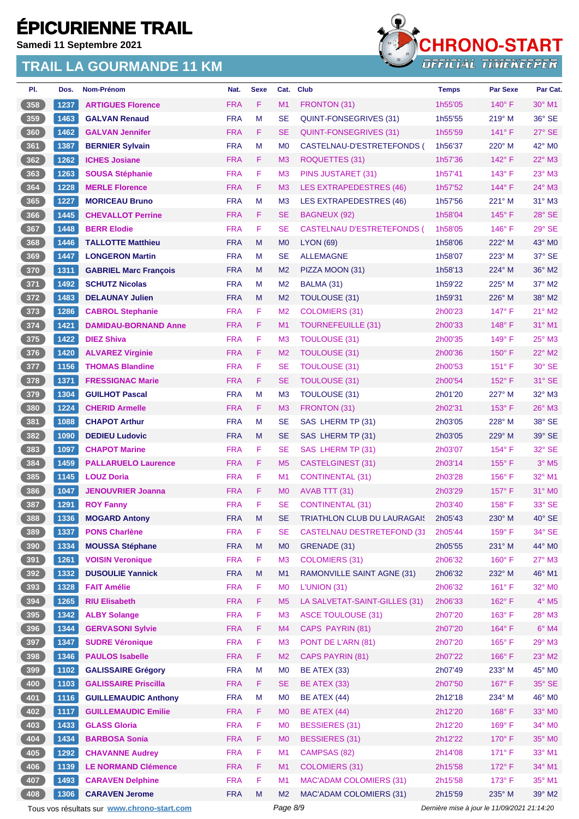**Samedi 11 Septembre 2021**



| PI.   | Dos. | <b>Nom-Prénom</b>                           | Nat.       | <b>Sexe</b> | Cat.           | Club                              | <b>Temps</b> | <b>Par Sexe</b>                             | Par Cat.            |
|-------|------|---------------------------------------------|------------|-------------|----------------|-----------------------------------|--------------|---------------------------------------------|---------------------|
| 358   | 1237 | <b>ARTIGUES Florence</b>                    | <b>FRA</b> | F.          | M1             | FRONTON (31)                      | 1h55'05      | $140^\circ$ F                               | $30^\circ$ M1       |
| 359   | 1463 | <b>GALVAN Renaud</b>                        | <b>FRA</b> | М           | <b>SE</b>      | <b>QUINT-FONSEGRIVES (31)</b>     | 1h55'55      | $219^{\circ}$ M                             | 36° SE              |
| 360   | 1462 | <b>GALVAN Jennifer</b>                      | <b>FRA</b> | F.          | <b>SE</b>      | <b>QUINT-FONSEGRIVES (31)</b>     | 1h55'59      | $141^\circ$ F                               | 27° SE              |
| 361   | 1387 | <b>BERNIER Sylvain</b>                      | <b>FRA</b> | M           | M <sub>0</sub> | CASTELNAU-D'ESTRETEFONDS (        | 1h56'37      | 220° M                                      | 42° MO              |
| 362   | 1262 | <b>ICHES Josiane</b>                        | <b>FRA</b> | F.          | M <sub>3</sub> | ROQUETTES (31)                    | 1h57'36      | $142^\circ$ F                               | $22^{\circ}$ M3     |
| 363   | 1263 | <b>SOUSA Stéphanie</b>                      | <b>FRA</b> | F           | M <sub>3</sub> | PINS JUSTARET (31)                | 1h57'41      | $143^\circ$ F                               | 23° M3              |
| 364   | 1228 | <b>MERLE Florence</b>                       | <b>FRA</b> | F           | M <sub>3</sub> | <b>LES EXTRAPEDESTRES (46)</b>    | 1h57'52      | 144°F                                       | $24^\circ$ M3       |
| 365   | 1227 | <b>MORICEAU Bruno</b>                       | <b>FRA</b> | M           | M <sub>3</sub> | LES EXTRAPEDESTRES (46)           | 1h57'56      | 221° M                                      | 31° M3              |
| 366   | 1445 | <b>CHEVALLOT Perrine</b>                    | <b>FRA</b> | F           | <b>SE</b>      | <b>BAGNEUX (92)</b>               | 1h58'04      | $145^\circ$ F                               | 28° SE              |
| 367   | 1448 | <b>BERR Elodie</b>                          | <b>FRA</b> | F.          | <b>SE</b>      | <b>CASTELNAU D'ESTRETEFONDS (</b> | 1h58'05      | $146^\circ$ F                               | 29° SE              |
| 368   | 1446 | <b>TALLOTTE Matthieu</b>                    | <b>FRA</b> | M           | M <sub>0</sub> | <b>LYON (69)</b>                  | 1h58'06      | 222° M                                      | 43° MO              |
| 369   | 1447 | <b>LONGERON Martin</b>                      | <b>FRA</b> | М           | <b>SE</b>      | <b>ALLEMAGNE</b>                  | 1h58'07      | 223° M                                      | 37° SE              |
| 370   | 1311 | <b>GABRIEL Marc François</b>                | <b>FRA</b> | M           | M <sub>2</sub> | PIZZA MOON (31)                   | 1h58'13      | $224^{\circ}$ M                             | $36^\circ$ M2       |
| 371   | 1492 | <b>SCHUTZ Nicolas</b>                       | <b>FRA</b> | М           | M <sub>2</sub> | BALMA (31)                        | 1h59'22      | 225° M                                      | 37° M2              |
| 372   | 1483 | <b>DELAUNAY Julien</b>                      | <b>FRA</b> | M           | M <sub>2</sub> | TOULOUSE (31)                     | 1h59'31      | 226° M                                      | 38° M2              |
| 373   | 1286 | <b>CABROL Stephanie</b>                     | <b>FRA</b> | F.          | M <sub>2</sub> | <b>COLOMIERS (31)</b>             | 2h00'23      | $147^\circ$ F                               | $21^\circ$ M2       |
| $374$ | 1421 | <b>DAMIDAU-BORNAND Anne</b>                 | <b>FRA</b> | F           | M <sub>1</sub> | <b>TOURNEFEUILLE (31)</b>         | 2h00'33      | $148^\circ$ F                               | 31° M1              |
| 375   | 1422 | <b>DIEZ Shiva</b>                           | <b>FRA</b> | F           | M <sub>3</sub> | <b>TOULOUSE (31)</b>              | 2h00'35      | $149^\circ$ F                               | $25^\circ$ M3       |
| 376   | 1420 | <b>ALVAREZ Virginie</b>                     | <b>FRA</b> | F.          | M <sub>2</sub> | <b>TOULOUSE (31)</b>              | 2h00'36      | $150^\circ$ F                               | 22° M2              |
| 377   | 1156 | <b>THOMAS Blandine</b>                      | <b>FRA</b> | F.          | <b>SE</b>      | <b>TOULOUSE (31)</b>              | 2h00'53      | $151^\circ$ F                               | 30° SE              |
| 378   | 1371 | <b>FRESSIGNAC Marie</b>                     | <b>FRA</b> | F.          | <b>SE</b>      | <b>TOULOUSE (31)</b>              | 2h00'54      | 152°F                                       | 31° SE              |
| 379   | 1304 | <b>GUILHOT Pascal</b>                       | <b>FRA</b> | М           | M <sub>3</sub> | <b>TOULOUSE (31)</b>              | 2h01'20      | 227° M                                      | 32° M3              |
| 380   | 1224 | <b>CHERID Armelle</b>                       | <b>FRA</b> | F.          | M <sub>3</sub> | FRONTON (31)                      | 2h02'31      | 153° F                                      | 26° M3              |
| 381   | 1088 | <b>CHAPOT Arthur</b>                        | <b>FRA</b> | М           | <b>SE</b>      | SAS LHERM TP (31)                 | 2h03'05      | 228° M                                      | 38° SE              |
| 382   | 1090 | <b>DEDIEU Ludovic</b>                       | <b>FRA</b> | M           | <b>SE</b>      | SAS LHERM TP (31)                 | 2h03'05      | 229° M                                      | 39° SE              |
| 383   | 1097 | <b>CHAPOT Marine</b>                        | <b>FRA</b> | F.          | <b>SE</b>      | SAS LHERM TP (31)                 | 2h03'07      | $154^{\circ}$ F                             | 32° SE              |
| 384   | 1459 | <b>PALLARUELO Laurence</b>                  | <b>FRA</b> | F.          | M <sub>5</sub> | <b>CASTELGINEST (31)</b>          | 2h03'14      | $155^{\circ}$ F                             | $3°$ M <sub>5</sub> |
| 385   | 1145 | <b>LOUZ Doria</b>                           | <b>FRA</b> | F           | M1             | CONTINENTAL (31)                  | 2h03'28      | $156^\circ$ F                               | 32° M1              |
| 386   | 1047 | <b>JENOUVRIER Joanna</b>                    | <b>FRA</b> | F.          | M <sub>0</sub> | AVAB TTT (31)                     | 2h03'29      | $157^\circ$ F                               | $31^\circ$ MO       |
| 387   | 1291 | <b>ROY Fanny</b>                            | <b>FRA</b> | F           | <b>SE</b>      | <b>CONTINENTAL (31)</b>           | 2h03'40      | $158^\circ$ F                               | 33° SE              |
| $388$ | 1336 | <b>MOGARD Antony</b>                        | <b>FRA</b> | M           | <b>SE</b>      | TRIATHLON CLUB DU LAURAGAIS       | 2h05'43      | 230° M                                      | $40^\circ$ SE       |
| 389   | 1337 | <b>PONS Charlène</b>                        | <b>FRA</b> | F.          | SE             | <b>CASTELNAU DESTRETEFOND (31</b> | 2h05'44      | $159^\circ$ F                               | 34° SE              |
| 390   | 1334 | <b>MOUSSA Stéphane</b>                      | <b>FRA</b> | M           | M <sub>0</sub> | GRENADE (31)                      | 2h05'55      | 231° M                                      | 44° MO              |
| 391   | 1261 | <b>VOISIN Veronique</b>                     | <b>FRA</b> | F           | M <sub>3</sub> | <b>COLOMIERS (31)</b>             | 2h06'32      | 160° F                                      | 27° M3              |
| 392   | 1332 | <b>DUSOULIE Yannick</b>                     | <b>FRA</b> | M           | M1             | RAMONVILLE SAINT AGNE (31)        | 2h06'32      | 232° M                                      | 46° M1              |
| 393   | 1328 | <b>FAIT Amélie</b>                          | <b>FRA</b> | F           | M <sub>0</sub> | L'UNION (31)                      | 2h06'32      | $161^\circ$ F                               | 32° MO              |
| 394   | 1265 | <b>RIU Elisabeth</b>                        | <b>FRA</b> | F           | M <sub>5</sub> | LA SALVETAT-SAINT-GILLES (31)     | 2h06'33      | 162° F                                      | $4^\circ$ M5        |
| 395   | 1342 | <b>ALBY Solange</b>                         | <b>FRA</b> | F           | M <sub>3</sub> | <b>ASCE TOULOUSE (31)</b>         | 2h07'20      | $163^\circ$ F                               | 28° M3              |
| 396   | 1344 | <b>GERVASONI Sylvie</b>                     | <b>FRA</b> | F           | M4             | CAPS PAYRIN (81)                  | 2h07'20      | 164°F                                       | $6^\circ$ M4        |
| 397   | 1347 | <b>SUDRE Véronique</b>                      | <b>FRA</b> | F           | M <sub>3</sub> | PONT DE L'ARN (81)                | 2h07'20      | $165^\circ$ F                               | 29° M3              |
| 398   | 1346 | <b>PAULOS Isabelle</b>                      | <b>FRA</b> | F           | M <sub>2</sub> | CAPS PAYRIN (81)                  | 2h07'22      | 166°F                                       | $23^\circ$ M2       |
| 399   | 1102 | <b>GALISSAIRE Grégory</b>                   | <b>FRA</b> | M           | M <sub>0</sub> | <b>BE ATEX (33)</b>               | 2h07'49      | 233° M                                      | 45° MO              |
| 400   | 1103 | <b>GALISSAIRE Priscilla</b>                 | <b>FRA</b> | F.          | <b>SE</b>      | <b>BE ATEX (33)</b>               | 2h07'50      | 167°F                                       | $35^\circ$ SE       |
| 401   | 1116 | <b>GUILLEMAUDIC Anthony</b>                 | <b>FRA</b> | M           | M <sub>0</sub> | <b>BE ATEX (44)</b>               | 2h12'18      | 234° M                                      | 46° MO              |
| 402   | 1117 | <b>GUILLEMAUDIC Emilie</b>                  | <b>FRA</b> | F           | M <sub>0</sub> | <b>BE ATEX (44)</b>               | 2h12'20      | 168°F                                       | 33° MO              |
| 403   | 1433 | <b>GLASS Gloria</b>                         | <b>FRA</b> | F           | M <sub>0</sub> | <b>BESSIERES (31)</b>             | 2h12'20      | $169^\circ$ F                               | 34° MO              |
| 404   | 1434 | <b>BARBOSA Sonia</b>                        | <b>FRA</b> | F           | M <sub>0</sub> | <b>BESSIERES (31)</b>             | 2h12'22      | 170° F                                      | 35° MO              |
| 405   | 1292 | <b>CHAVANNE Audrey</b>                      | <b>FRA</b> | F           | M1             | CAMPSAS (82)                      | 2h14'08      | $171^\circ$ F                               | 33° M1              |
| 406   | 1139 | <b>LE NORMAND Clémence</b>                  | <b>FRA</b> | F           | M1             | <b>COLOMIERS (31)</b>             | 2h15'58      | 172°F                                       | 34° M1              |
| 407   | 1493 | <b>CARAVEN Delphine</b>                     | <b>FRA</b> | F           | M1             | <b>MAC'ADAM COLOMIERS (31)</b>    | 2h15'58      | $173^\circ$ F                               | 35° M1              |
| 408   | 1306 | <b>CARAVEN Jerome</b>                       | <b>FRA</b> | M           | M <sub>2</sub> | <b>MAC'ADAM COLOMIERS (31)</b>    | 2h15'59      | $235^\circ$ M                               | 39° M2              |
|       |      | Tous vos résultats sur www.chrono-start.com |            |             | Page 8/9       |                                   |              | Dernière mise à jour le 11/09/2021 21:14:20 |                     |